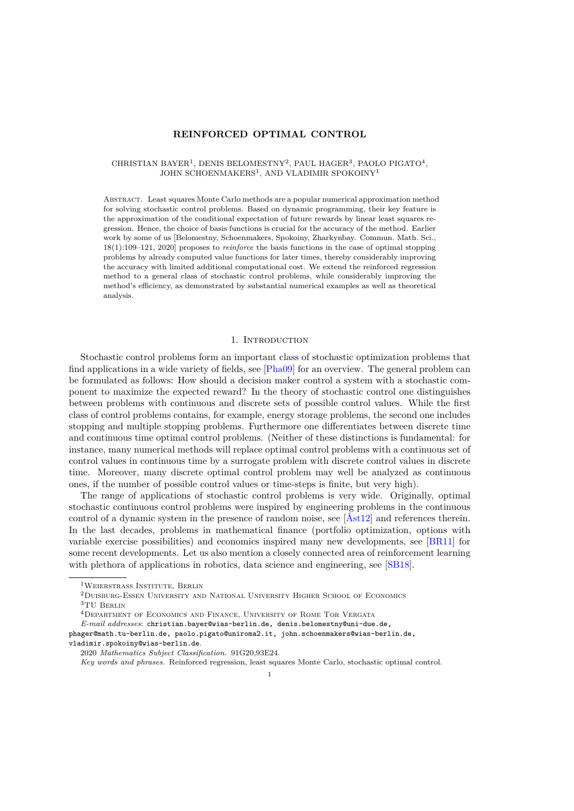# **REINFORCED OPTIMAL CONTROL**

### CHRISTIAN BAYER<sup>1</sup>, DENIS BELOMESTNY<sup>2</sup>, PAUL HAGER<sup>3</sup>, PAOLO PIGATO<sup>4</sup>, JOHN SCHOENMAKERS<sup>1</sup>, AND VLADIMIR SPOKOINY<sup>1</sup>

Abstract. Least squares Monte Carlo methods are a popular numerical approximation method for solving stochastic control problems. Based on dynamic programming, their key feature is the approximation of the conditional expectation of future rewards by linear least squares regression. Hence, the choice of basis functions is crucial for the accuracy of the method. Earlier work by some of us [Belomestny, Schoenmakers, Spokoiny, Zharkynbay. Commun. Math. Sci., 18(1):109–121, 2020] proposes to *reinforce* the basis functions in the case of optimal stopping problems by already computed value functions for later times, thereby considerably improving the accuracy with limited additional computational cost. We extend the reinforced regression method to a general class of stochastic control problems, while considerably improving the method's efficiency, as demonstrated by substantial numerical examples as well as theoretical analysis.

### 1. INTRODUCTION

Stochastic control problems form an important class of stochastic optimization problems that find applications in a wide variety of fields, see [\[Pha09\]](#page-23-0) for an overview. The general problem can be formulated as follows: How should a decision maker control a system with a stochastic component to maximize the expected reward? In the theory of stochastic control one distinguishes between problems with continuous and discrete sets of possible control values. While the first class of control problems contains, for example, energy storage problems, the second one includes stopping and multiple stopping problems. Furthermore one differentiates between discrete time and continuous time optimal control problems. (Neither of these distinctions is fundamental: for instance, many numerical methods will replace optimal control problems with a continuous set of control values in continuous time by a surrogate problem with discrete control values in discrete time. Moreover, many discrete optimal control problem may well be analyzed as continuous ones, if the number of possible control values or time-steps is finite, but very high).

The range of applications of stochastic control problems is very wide. Originally, optimal stochastic continuous control problems were inspired by engineering problems in the continuous control of a dynamic system in the presence of random noise, see [\[Åst12\]](#page-23-1) and references therein. In the last decades, problems in mathematical finance (portfolio optimization, options with variable exercise possibilities) and economics inspired many new developments, see [\[BR11\]](#page-23-2) for some recent developments. Let us also mention a closely connected area of reinforcement learning with plethora of applications in robotics, data science and engineering, see [\[SB18\]](#page-23-3).

vladimir.spokoiny@wias-berlin.de.

 $^1{\rm W}$ eierstrass Institute, Berlin

<sup>2</sup>Duisburg-Essen University and National University Higher School of Economics 3TU Berlin

<sup>4</sup>Department of Economics and Finance, University of Rome Tor Vergata

*E-mail addresses*: christian.bayer@wias-berlin.de, denis.belomestny@uni-due.de, phager@math.tu-berlin.de, paolo.pigato@uniroma2.it, john.schoenmakers@wias-berlin.de,

<sup>2020</sup> *Mathematics Subject Classification.* 91G20,93E24.

*Key words and phrases.* Reinforced regression, least squares Monte Carlo, stochastic optimal control.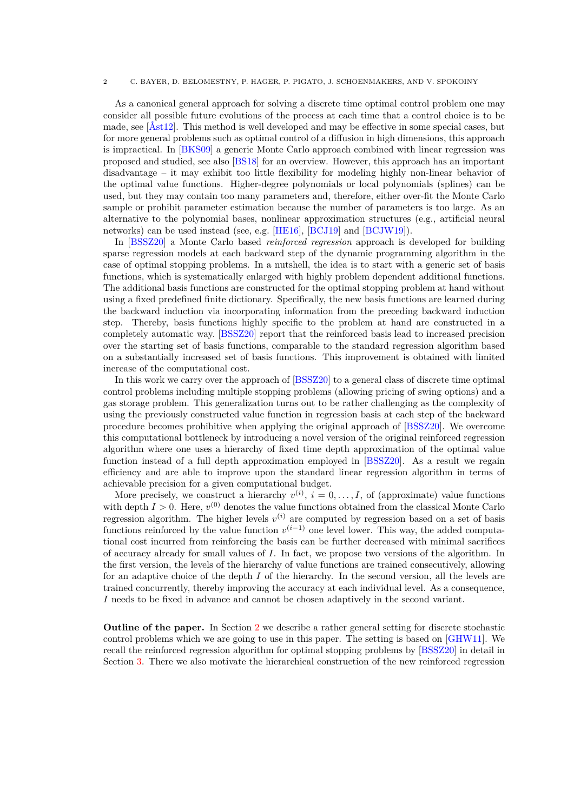As a canonical general approach for solving a discrete time optimal control problem one may consider all possible future evolutions of the process at each time that a control choice is to be made, see [\[Åst12\]](#page-23-1). This method is well developed and may be effective in some special cases, but for more general problems such as optimal control of a diffusion in high dimensions, this approach is impractical. In [\[BKS09\]](#page-23-4) a generic Monte Carlo approach combined with linear regression was proposed and studied, see also [\[BS18\]](#page-23-5) for an overview. However, this approach has an important disadvantage – it may exhibit too little flexibility for modeling highly non-linear behavior of the optimal value functions. Higher-degree polynomials or local polynomials (splines) can be used, but they may contain too many parameters and, therefore, either over-fit the Monte Carlo sample or prohibit parameter estimation because the number of parameters is too large. As an alternative to the polynomial bases, nonlinear approximation structures (e.g., artificial neural networks) can be used instead (see, e.g. [\[HE16\]](#page-23-6), [\[BCJ19\]](#page-23-7) and [\[BCJW19\]](#page-23-8)).

In [\[BSSZ20\]](#page-23-9) a Monte Carlo based *reinforced regression* approach is developed for building sparse regression models at each backward step of the dynamic programming algorithm in the case of optimal stopping problems. In a nutshell, the idea is to start with a generic set of basis functions, which is systematically enlarged with highly problem dependent additional functions. The additional basis functions are constructed for the optimal stopping problem at hand without using a fixed predefined finite dictionary. Specifically, the new basis functions are learned during the backward induction via incorporating information from the preceding backward induction step. Thereby, basis functions highly specific to the problem at hand are constructed in a completely automatic way. [\[BSSZ20\]](#page-23-9) report that the reinforced basis lead to increased precision over the starting set of basis functions, comparable to the standard regression algorithm based on a substantially increased set of basis functions. This improvement is obtained with limited increase of the computational cost.

In this work we carry over the approach of [\[BSSZ20\]](#page-23-9) to a general class of discrete time optimal control problems including multiple stopping problems (allowing pricing of swing options) and a gas storage problem. This generalization turns out to be rather challenging as the complexity of using the previously constructed value function in regression basis at each step of the backward procedure becomes prohibitive when applying the original approach of [\[BSSZ20\]](#page-23-9). We overcome this computational bottleneck by introducing a novel version of the original reinforced regression algorithm where one uses a hierarchy of fixed time depth approximation of the optimal value function instead of a full depth approximation employed in [\[BSSZ20\]](#page-23-9). As a result we regain efficiency and are able to improve upon the standard linear regression algorithm in terms of achievable precision for a given computational budget.

More precisely, we construct a hierarchy  $v^{(i)}$ ,  $i = 0, \ldots, I$ , of (approximate) value functions with depth  $I > 0$ . Here,  $v^{(0)}$  denotes the value functions obtained from the classical Monte Carlo regression algorithm. The higher levels  $v^{(i)}$  are computed by regression based on a set of basis functions reinforced by the value function  $v^{(i-1)}$  one level lower. This way, the added computational cost incurred from reinforcing the basis can be further decreased with minimal sacrifices of accuracy already for small values of *I*. In fact, we propose two versions of the algorithm. In the first version, the levels of the hierarchy of value functions are trained consecutively, allowing for an adaptive choice of the depth *I* of the hierarchy. In the second version, all the levels are trained concurrently, thereby improving the accuracy at each individual level. As a consequence, *I* needs to be fixed in advance and cannot be chosen adaptively in the second variant.

**Outline of the paper.** In Section [2](#page-2-0) we describe a rather general setting for discrete stochastic control problems which we are going to use in this paper. The setting is based on [\[GHW11\]](#page-23-10). We recall the reinforced regression algorithm for optimal stopping problems by [\[BSSZ20\]](#page-23-9) in detail in Section [3.](#page-3-0) There we also motivate the hierarchical construction of the new reinforced regression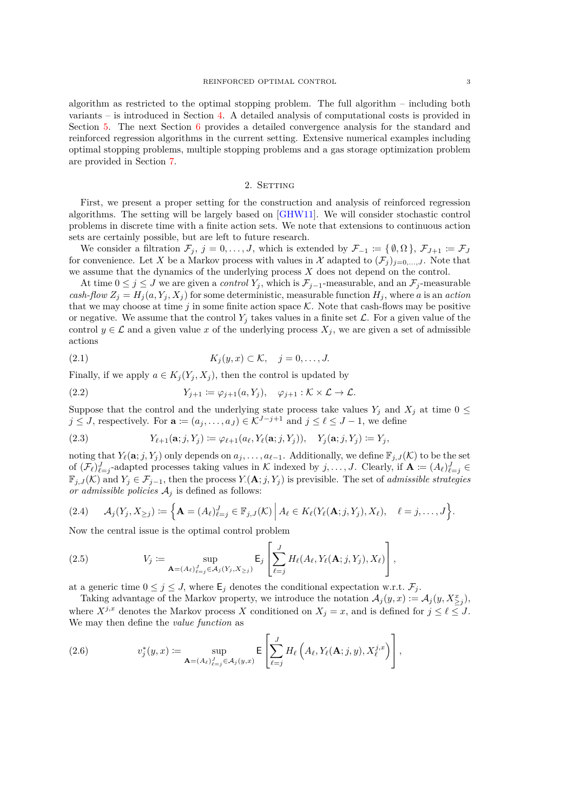algorithm as restricted to the optimal stopping problem. The full algorithm – including both variants – is introduced in Section [4.](#page-7-0) A detailed analysis of computational costs is provided in Section [5.](#page-9-0) The next Section [6](#page-12-0) provides a detailed convergence analysis for the standard and reinforced regression algorithms in the current setting. Extensive numerical examples including optimal stopping problems, multiple stopping problems and a gas storage optimization problem are provided in Section [7.](#page-15-0)

# 2. SETTING

<span id="page-2-0"></span>First, we present a proper setting for the construction and analysis of reinforced regression algorithms. The setting will be largely based on [\[GHW11\]](#page-23-10). We will consider stochastic control problems in discrete time with a finite action sets. We note that extensions to continuous action sets are certainly possible, but are left to future research.

We consider a filtration  $\mathcal{F}_j$ ,  $j = 0, \ldots, J$ , which is extended by  $\mathcal{F}_{-1} \coloneqq \{\emptyset, \Omega\}, \mathcal{F}_{J+1} \coloneqq \mathcal{F}_J$ for convenience. Let X be a Markov process with values in X adapted to  $(\mathcal{F}_i)_{i=0,\dots,J}$ . Note that we assume that the dynamics of the underlying process *X* does not depend on the control.

At time  $0 \leq j \leq J$  we are given a *control*  $Y_j$ , which is  $\mathcal{F}_{j-1}$ -measurable, and an  $\mathcal{F}_j$ -measurable *cash-flow*  $Z_j = H_j(a, Y_j, X_j)$  for some deterministic, measurable function  $H_j$ , where *a* is an *action* that we may choose at time  $j$  in some finite action space  $K$ . Note that cash-flows may be positive or negative. We assume that the control  $Y_i$  takes values in a finite set  $\mathcal{L}$ . For a given value of the control  $y \in \mathcal{L}$  and a given value x of the underlying process  $X_j$ , we are given a set of admissible actions

$$
(2.1) \t K_j(y,x) \subset \mathcal{K}, \quad j=0,\ldots,J.
$$

Finally, if we apply  $a \in K_i(Y_i, X_i)$ , then the control is updated by

(2.2) 
$$
Y_{j+1} := \varphi_{j+1}(a, Y_j), \quad \varphi_{j+1} : \mathcal{K} \times \mathcal{L} \to \mathcal{L}.
$$

Suppose that the control and the underlying state process take values  $Y_j$  and  $X_j$  at time  $0 \leq$ *j* ≤ *J*, respectively. For  $\mathbf{a} := (a_j, \ldots, a_J) \in \mathbb{K}^{J-j+1}$  and  $j \leq \ell \leq J-1$ , we define

(2.3) 
$$
Y_{\ell+1}(\mathbf{a};j,Y_j) := \varphi_{\ell+1}(a_{\ell},Y_{\ell}(\mathbf{a};j,Y_j)), \quad Y_j(\mathbf{a};j,Y_j) := Y_j,
$$

noting that  $Y_{\ell}(\mathbf{a}; j, Y_j)$  only depends on  $a_j, \ldots, a_{\ell-1}$ . Additionally, we define  $\mathbb{F}_{j,J}(\mathcal{K})$  to be the set of  $(\mathcal{F}_{\ell})_{\ell=j}^J$ -adapted processes taking values in K indexed by  $j, \ldots, J$ . Clearly, if  $\mathbf{A} := (A_{\ell})_{\ell=j}^J \in$  $\mathbb{F}_{j,J}(\mathcal{K})$  and  $Y_j \in \mathcal{F}_{j-1}$ , then the process  $Y_i(\mathbf{A};j,Y_j)$  is previsible. The set of *admissible strategies or admissible policies*  $A_j$  is defined as follows:

$$
(2.4) \qquad \mathcal{A}_j(Y_j, X_{\geq j}) \coloneqq \Big\{\mathbf{A} = (A_\ell)_{\ell=j}^J \in \mathbb{F}_{j,J}(\mathcal{K}) \Big\vert A_\ell \in K_\ell(Y_\ell(\mathbf{A};j,Y_j), X_\ell), \quad \ell = j,\ldots,J\Big\}.
$$

Now the central issue is the optimal control problem

(2.5) 
$$
V_j := \sup_{\mathbf{A}=(A_\ell)_{\ell=j}^J \in \mathcal{A}_j(Y_j, X_{\geq j})} \mathsf{E}_j\left[\sum_{\ell=j}^J H_\ell(A_\ell, Y_\ell(\mathbf{A}; j, Y_j), X_\ell)\right],
$$

at a generic time  $0 \leq j \leq J$ , where  $\mathsf{E}_j$  denotes the conditional expectation w.r.t.  $\mathcal{F}_j$ .

Taking advantage of the Markov property, we introduce the notation  $\mathcal{A}_j(y, x) := \mathcal{A}_j(y, X^x_{\geq j}),$ where  $X^{j,x}$  denotes the Markov process *X* conditioned on  $X_j = x$ , and is defined for  $j \leq \ell \leq J$ . We may then define the *value function* as

<span id="page-2-1"></span>(2.6) 
$$
v_j^*(y,x) := \sup_{\mathbf{A}=(A_\ell)_{\ell=j}^J \in \mathcal{A}_j(y,x)} \mathsf{E}\left[\sum_{\ell=j}^J H_\ell\left(A_\ell, Y_\ell(\mathbf{A};j,y), X_\ell^{j,x}\right)\right],
$$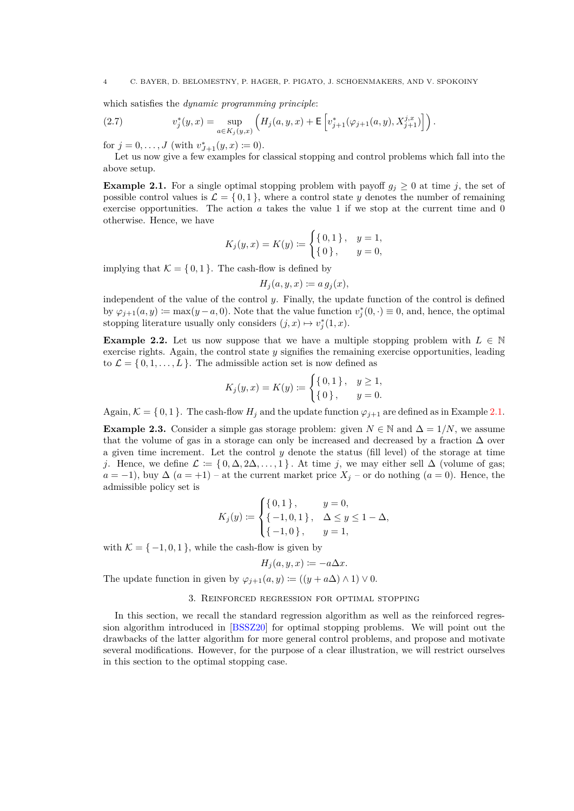which satisfies the *dynamic programming principle*:

<span id="page-3-2"></span>(2.7) 
$$
v_j^*(y,x) = \sup_{a \in K_j(y,x)} \left( H_j(a,y,x) + \mathsf{E}\left[v_{j+1}^*(\varphi_{j+1}(a,y), X_{j+1}^{j,x})\right] \right).
$$

for  $j = 0, ..., J$  (with  $v_{J+1}^*(y, x) \coloneqq 0$ ).

Let us now give a few examples for classical stopping and control problems which fall into the above setup.

<span id="page-3-1"></span>**Example 2.1.** For a single optimal stopping problem with payoff  $g_j \geq 0$  at time *j*, the set of possible control values is  $\mathcal{L} = \{0, 1\}$ , where a control state *y* denotes the number of remaining exercise opportunities. The action *a* takes the value 1 if we stop at the current time and 0 otherwise. Hence, we have

$$
K_j(y, x) = K(y) := \begin{cases} \{0, 1\}, & y = 1, \\ \{0\}, & y = 0, \end{cases}
$$

implying that  $K = \{0, 1\}$ . The cash-flow is defined by

 $H_i(a, y, x) := a q_i(x)$ ,

independent of the value of the control *y*. Finally, the update function of the control is defined by  $\varphi_{j+1}(a, y) \coloneqq \max(y - a, 0)$ . Note that the value function  $v_j^*(0, \cdot) \equiv 0$ , and, hence, the optimal stopping literature usually only considers  $(j, x) \mapsto v_j^*(1, x)$ .

<span id="page-3-3"></span>**Example 2.2.** Let us now suppose that we have a multiple stopping problem with  $L \in \mathbb{N}$ exercise rights. Again, the control state *y* signifies the remaining exercise opportunities, leading to  $\mathcal{L} = \{0, 1, \ldots, L\}$ . The admissible action set is now defined as

$$
K_j(y, x) = K(y) := \begin{cases} \{0, 1\}, & y \ge 1, \\ \{0\}, & y = 0. \end{cases}
$$

Again,  $K = \{0, 1\}$ . The cash-flow  $H_j$  and the update function  $\varphi_{j+1}$  are defined as in Example [2.1.](#page-3-1)

<span id="page-3-4"></span>**Example 2.3.** Consider a simple gas storage problem: given  $N \in \mathbb{N}$  and  $\Delta = 1/N$ , we assume that the volume of gas in a storage can only be increased and decreased by a fraction  $\Delta$  over a given time increment. Let the control *y* denote the status (fill level) of the storage at time *j*. Hence, we define  $\mathcal{L} := \{0, \Delta, 2\Delta, \ldots, 1\}$ . At time *j*, we may either sell  $\Delta$  (volume of gas; *a* = −1), buy  $\Delta$  (*a* = +1) – at the current market price  $X_j$  – or do nothing (*a* = 0). Hence, the admissible policy set is

$$
K_j(y) := \begin{cases} \{0,1\}, & y = 0, \\ \{-1,0,1\}, & \Delta \le y \le 1 - \Delta, \\ \{-1,0\}, & y = 1, \end{cases}
$$

with  $\mathcal{K} = \{-1, 0, 1\}$ , while the cash-flow is given by

$$
H_j(a, y, x) \coloneqq -a\Delta x.
$$

The update function in given by  $\varphi_{j+1}(a, y) := ((y + a\Delta) \wedge 1) \vee 0$ .

# 3. Reinforced regression for optimal stopping

<span id="page-3-0"></span>In this section, we recall the standard regression algorithm as well as the reinforced regression algorithm introduced in [\[BSSZ20\]](#page-23-9) for optimal stopping problems. We will point out the drawbacks of the latter algorithm for more general control problems, and propose and motivate several modifications. However, for the purpose of a clear illustration, we will restrict ourselves in this section to the optimal stopping case.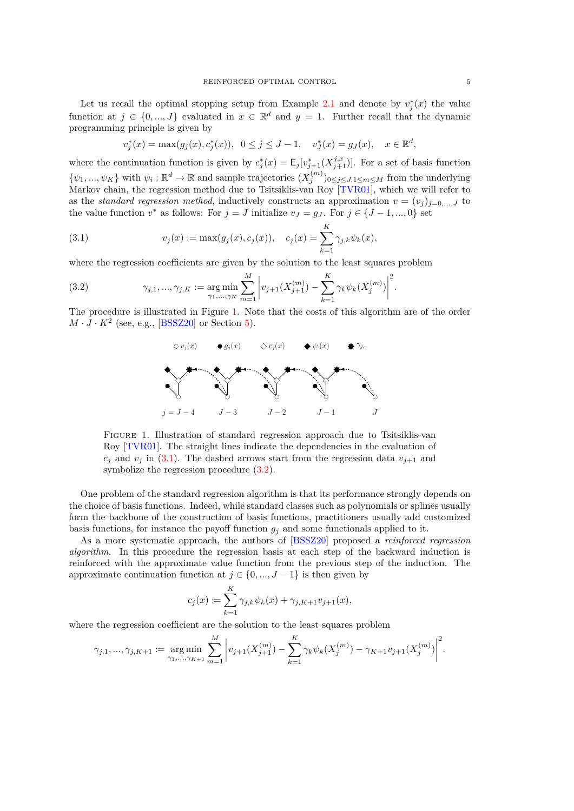Let us recall the optimal stopping setup from Example [2.1](#page-3-1) and denote by  $v_j^*(x)$  the value function at  $j \in \{0, ..., J\}$  evaluated in  $x \in \mathbb{R}^d$  and  $y = 1$ . Further recall that the dynamic programming principle is given by

$$
v_j^*(x) = \max(g_j(x), c_j^*(x)), 0 \le j \le J-1, v_j^*(x) = g_j(x), x \in \mathbb{R}^d
$$

where the continuation function is given by  $c_j^*(x) = \mathsf{E}_j[v_{j+1}^*(X_{j+1}^{j,x})]$ . For a set of basis function  $\{\psi_1, ..., \psi_K\}$  with  $\psi_i : \mathbb{R}^d \to \mathbb{R}$  and sample trajectories  $(X_j^{(m)})_{0 \le j \le J, 1 \le m \le M}$  from the underlying Markov chain, the regression method due to Tsitsiklis-van Roy [\[TVR01\]](#page-23-11), which we will refer to as the *standard regression method*, inductively constructs an approximation  $v = (v_j)_{j=0,\dots,J}$  to the value function  $v^*$  as follows: For  $j = J$  initialize  $v_J = g_J$ . For  $j \in \{J-1, ..., 0\}$  set

<span id="page-4-1"></span>(3.1) 
$$
v_j(x) := \max(g_j(x), c_j(x)), \quad c_j(x) = \sum_{k=1}^K \gamma_{j,k} \psi_k(x),
$$

where the regression coefficients are given by the solution to the least squares problem

<span id="page-4-2"></span>(3.2) 
$$
\gamma_{j,1}, \dots, \gamma_{j,K} := \underset{\gamma_1, \dots, \gamma_K}{\arg \min} \sum_{m=1}^M \left| v_{j+1}(X_{j+1}^{(m)}) - \sum_{k=1}^K \gamma_k \psi_k(X_j^{(m)}) \right|^2.
$$

<span id="page-4-0"></span>The procedure is illustrated in Figure [1.](#page-4-0) Note that the costs of this algorithm are of the order  $M \cdot J \cdot K^2$  (see, e.g., [\[BSSZ20\]](#page-23-9) or Section [5\)](#page-9-0).



Figure 1. Illustration of standard regression approach due to Tsitsiklis-van Roy [\[TVR01\]](#page-23-11). The straight lines indicate the dependencies in the evaluation of  $c_j$  and  $v_j$  in [\(3.1\)](#page-4-1). The dashed arrows start from the regression data  $v_{j+1}$  and symbolize the regression procedure [\(3.2\)](#page-4-2).

One problem of the standard regression algorithm is that its performance strongly depends on the choice of basis functions. Indeed, while standard classes such as polynomials or splines usually form the backbone of the construction of basis functions, practitioners usually add customized basis functions, for instance the payoff function  $g_j$  and some functionals applied to it.

As a more systematic approach, the authors of [\[BSSZ20\]](#page-23-9) proposed a *reinforced regression algorithm*. In this procedure the regression basis at each step of the backward induction is reinforced with the approximate value function from the previous step of the induction. The approximate continuation function at  $j \in \{0, ..., J-1\}$  is then given by

$$
c_j(x) := \sum_{k=1}^K \gamma_{j,k} \psi_k(x) + \gamma_{j,K+1} v_{j+1}(x),
$$

where the regression coefficient are the solution to the least squares problem

$$
\gamma_{j,1}, \dots, \gamma_{j,K+1} := \underset{\gamma_1, \dots, \gamma_{K+1}}{\arg \min} \sum_{m=1}^{M} \left| v_{j+1}(X_{j+1}^{(m)}) - \sum_{k=1}^{K} \gamma_k \psi_k(X_j^{(m)}) - \gamma_{K+1} v_{j+1}(X_j^{(m)}) \right|^2.
$$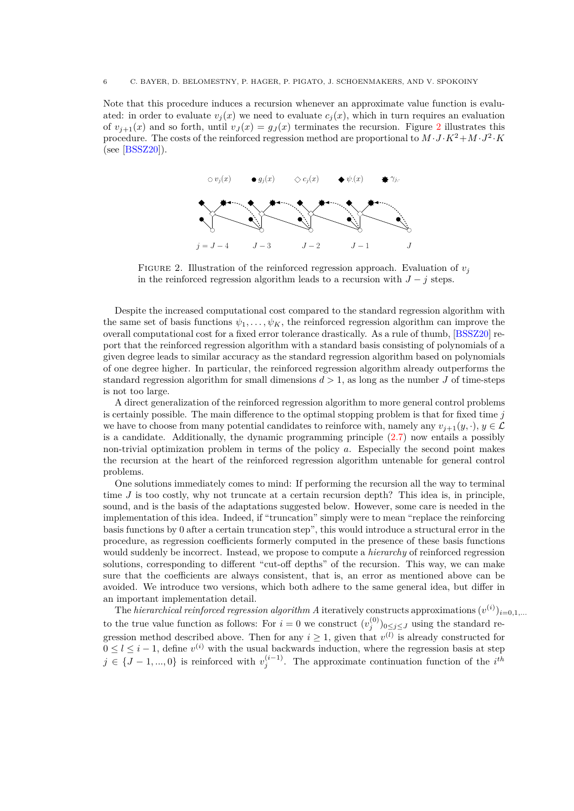<span id="page-5-0"></span>Note that this procedure induces a recursion whenever an approximate value function is evaluated: in order to evaluate  $v_j(x)$  we need to evaluate  $c_j(x)$ , which in turn requires an evaluation of  $v_{j+1}(x)$  and so forth, until  $v_{J}(x) = g_{J}(x)$  terminates the recursion. Figure [2](#page-5-0) illustrates this procedure. The costs of the reinforced regression method are proportional to  $M \cdot J \cdot K^2 + M \cdot J^2 \cdot K$ (see [\[BSSZ20\]](#page-23-9)).



FIGURE 2. Illustration of the reinforced regression approach. Evaluation of  $v_j$ in the reinforced regression algorithm leads to a recursion with  $J - j$  steps.

Despite the increased computational cost compared to the standard regression algorithm with the same set of basis functions  $\psi_1, \ldots, \psi_K$ , the reinforced regression algorithm can improve the overall computational cost for a fixed error tolerance drastically. As a rule of thumb, [\[BSSZ20\]](#page-23-9) report that the reinforced regression algorithm with a standard basis consisting of polynomials of a given degree leads to similar accuracy as the standard regression algorithm based on polynomials of one degree higher. In particular, the reinforced regression algorithm already outperforms the standard regression algorithm for small dimensions  $d > 1$ , as long as the number *J* of time-steps is not too large.

is certainly possible. The main difference to the optimal stopping problem is that for fixed time  $j$ A direct generalization of the reinforced regression algorithm to more general control problems we have to choose from many potential candidates to reinforce with, namely any  $v_{j+1}(y, \cdot)$ ,  $y \in \mathcal{L}$ is a candidate. Additionally, the dynamic programming principle [\(2.7\)](#page-3-2) now entails a possibly non-trivial optimization problem in terms of the policy *a*. Especially the second point makes the recursion at the heart of the reinforced regression algorithm untenable for general control problems.

One solutions immediately comes to mind: If performing the recursion all the way to terminal time *J* is too costly, why not truncate at a certain recursion depth? This idea is, in principle, sound, and is the basis of the adaptations suggested below. However, some care is needed in the implementation of this idea. Indeed, if "truncation" simply were to mean "replace the reinforcing basis functions by 0 after a certain truncation step", this would introduce a structural error in the procedure, as regression coefficients formerly computed in the presence of these basis functions would suddenly be incorrect. Instead, we propose to compute a *hierarchy* of reinforced regression solutions, corresponding to different "cut-off depths" of the recursion. This way, we can make sure that the coefficients are always consistent, that is, an error as mentioned above can be avoided. We introduce two versions, which both adhere to the same general idea, but differ in an important implementation detail.

The *hierarchical reinforced regression algorithm A* iteratively constructs approximations  $(v^{(i)})_{i=0,1,...}$ to the true value function as follows: For  $i = 0$  we construct  $(v_j^{(0)})_{0 \leq j \leq J}$  using the standard regression method described above. Then for any  $i \geq 1$ , given that  $v^{(l)}$  is already constructed for  $0 \leq l \leq i-1$ , define  $v^{(i)}$  with the usual backwards induction, where the regression basis at step  $j \in \{J-1, ..., 0\}$  is reinforced with  $v_j^{(i-1)}$ . The approximate continuation function of the *i*<sup>th</sup>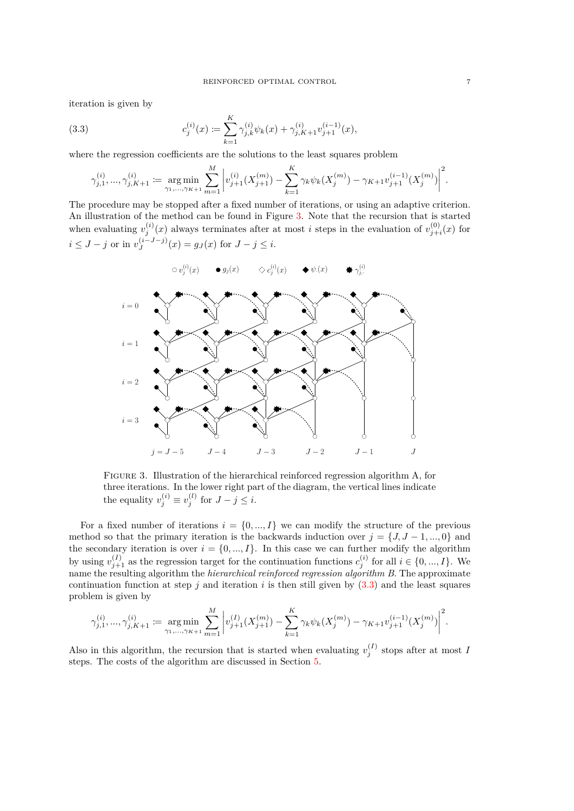iteration is given by

<span id="page-6-1"></span>(3.3) 
$$
c_j^{(i)}(x) := \sum_{k=1}^K \gamma_{j,k}^{(i)} \psi_k(x) + \gamma_{j,K+1}^{(i)} v_{j+1}^{(i-1)}(x),
$$

where the regression coefficients are the solutions to the least squares problem

$$
\gamma_{j,1}^{(i)},...,\gamma_{j,K+1}^{(i)} := \underset{\gamma_1,...,\gamma_{K+1}}{\arg\min} \sum_{m=1}^M \left| v_{j+1}^{(i)}(X_{j+1}^{(m)}) - \sum_{k=1}^K \gamma_k \psi_k(X_j^{(m)}) - \gamma_{K+1} v_{j+1}^{(i-1)}(X_j^{(m)}) \right|^2.
$$

The procedure may be stopped after a fixed number of iterations, or using an adaptive criterion. An illustration of the method can be found in Figure [3.](#page-6-0) Note that the recursion that is started when evaluating  $v_j^{(i)}(x)$  always terminates after at most *i* steps in the evaluation of  $v_{j+i}^{(0)}(x)$  for  $i \leq J - j$  or in  $v_J^{(i-J-j)}$  $J^{(i-J-j)}(x) = g_J(x)$  for  $J - j \leq i$ .

<span id="page-6-0"></span>

Figure 3. Illustration of the hierarchical reinforced regression algorithm A, for three iterations. In the lower right part of the diagram, the vertical lines indicate the equality  $v_j^{(i)} \equiv v_j^{(l)}$  for  $J - j \leq i$ .

For a fixed number of iterations  $i = \{0, ..., I\}$  we can modify the structure of the previous method so that the primary iteration is the backwards induction over  $j = \{J, J - 1, ..., 0\}$  and the secondary iteration is over  $i = \{0, ..., I\}$ . In this case we can further modify the algorithm by using  $v_{j+1}^{(I)}$  as the regression target for the continuation functions  $c_j^{(i)}$  for all  $i \in \{0, ..., I\}$ . We name the resulting algorithm the *hierarchical reinforced regression algorithm B*. The approximate continuation function at step  $j$  and iteration  $i$  is then still given by  $(3.3)$  and the least squares problem is given by

$$
\gamma_{j,1}^{(i)}, \dots, \gamma_{j,K+1}^{(i)} := \underset{\gamma_1, \dots, \gamma_{K+1}}{\arg \min} \sum_{m=1}^{M} \left| v_{j+1}^{(I)}(X_{j+1}^{(m)}) - \sum_{k=1}^{K} \gamma_k \psi_k(X_j^{(m)}) - \gamma_{K+1} v_{j+1}^{(i-1)}(X_j^{(m)}) \right|^2.
$$

Also in this algorithm, the recursion that is started when evaluating  $v_j^{(I)}$  stops after at most *I* steps. The costs of the algorithm are discussed in Section [5.](#page-9-0)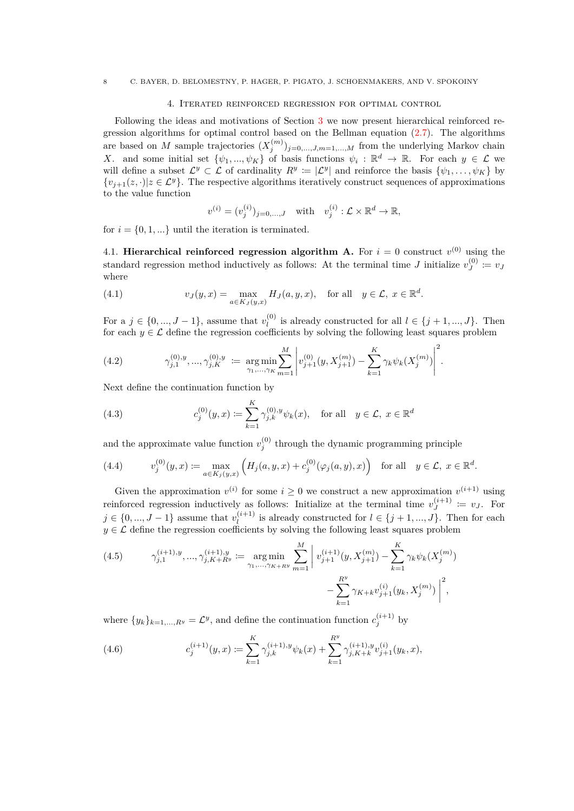## 4. Iterated reinforced regression for optimal control

<span id="page-7-0"></span>Following the ideas and motivations of Section [3](#page-3-0) we now present hierarchical reinforced regression algorithms for optimal control based on the Bellman equation  $(2.7)$ . The algorithms are based on *M* sample trajectories  $(X_j^{(m)})_{j=0,\ldots,J,m=1,\ldots,M}$  from the underlying Markov chain *X*. and some initial set  $\{\psi_1, ..., \psi_K\}$  of basis functions  $\psi_i : \mathbb{R}^d \to \mathbb{R}$ . For each  $y \in \mathcal{L}$  we will define a subset  $\mathcal{L}^y \subset \mathcal{L}$  of cardinality  $R^y := |\mathcal{L}^y|$  and reinforce the basis  $\{\psi_1, \ldots, \psi_K\}$  by  $\{v_{j+1}(z, \cdot)|z \in \mathcal{L}^y\}$ . The respective algorithms iteratively construct sequences of approximations to the value function

$$
v^{(i)} = (v_j^{(i)})_{j=0,\dots,J} \quad \text{with} \quad v_j^{(i)} : \mathcal{L} \times \mathbb{R}^d \to \mathbb{R},
$$

for  $i = \{0, 1, ...\}$  until the iteration is terminated.

4.1. **Hierarchical reinforced regression algorithm A.** For  $i = 0$  construct  $v^{(0)}$  using the standard regression method inductively as follows: At the terminal time *J* initialize  $v_I^{(0)}$  $v_J^{(0)} \coloneqq v_J$ where

<span id="page-7-2"></span>(4.1) 
$$
v_J(y,x) = \max_{a \in K_J(y,x)} H_J(a,y,x), \text{ for all } y \in \mathcal{L}, x \in \mathbb{R}^d.
$$

For a  $j \in \{0, ..., J - 1\}$ , assume that  $v_l^{(0)}$  $l_l^{(0)}$  is already constructed for all  $l \in \{j+1, ..., J\}$ . Then for each  $y \in \mathcal{L}$  define the regression coefficients by solving the following least squares problem

(4.2) 
$$
\gamma_{j,1}^{(0),y}, \ldots, \gamma_{j,K}^{(0),y} := \underset{\gamma_1,\ldots,\gamma_K}{\arg \min} \sum_{m=1}^M \left| v_{j+1}^{(0)}(y,X_{j+1}^{(m)}) - \sum_{k=1}^K \gamma_k \psi_k(X_j^{(m)}) \right|^2.
$$

Next define the continuation function by

<span id="page-7-3"></span>(4.3) 
$$
c_j^{(0)}(y,x) := \sum_{k=1}^K \gamma_{j,k}^{(0),y} \psi_k(x), \text{ for all } y \in \mathcal{L}, x \in \mathbb{R}^d
$$

and the approximate value function  $v_j^{(0)}$  through the dynamic programming principle

(4.4) 
$$
v_j^{(0)}(y,x) := \max_{a \in K_j(y,x)} \left( H_j(a,y,x) + c_j^{(0)}(\varphi_j(a,y),x) \right) \text{ for all } y \in \mathcal{L}, x \in \mathbb{R}^d.
$$

Given the approximation  $v^{(i)}$  for some  $i \geq 0$  we construct a new approximation  $v^{(i+1)}$  using reinforced regression inductively as follows: Initialize at the terminal time  $v_I^{(i+1)}$  $y_J^{(i+1)} \coloneqq v_J$ . For *j* ∈ {0, ..., *J* − 1} assume that  $v_l^{(i+1)}$  $l_l^{(i+1)}$  is already constructed for  $l \in \{j+1, ..., J\}$ . Then for each  $y \in \mathcal{L}$  define the regression coefficients by solving the following least squares problem

<span id="page-7-1"></span>(4.5) 
$$
\gamma_{j,1}^{(i+1),y}, \dots, \gamma_{j,K+R^y}^{(i+1),y} := \underset{\gamma_1, \dots, \gamma_{K+R^y}}{\arg \min} \sum_{m=1}^M \left| v_{j+1}^{(i+1)}(y, X_{j+1}^{(m)}) - \sum_{k=1}^K \gamma_k \psi_k(X_j^{(m)}) - \sum_{k=1}^{R^y} \gamma_{K+k} v_{j+1}^{(i)}(y_k, X_j^{(m)}) \right|^2,
$$

where  $\{y_k\}_{k=1,\ldots,R^y} = \mathcal{L}^y$ , and define the continuation function  $c_j^{(i+1)}$  by

<span id="page-7-4"></span>(4.6) 
$$
c_j^{(i+1)}(y,x) \coloneqq \sum_{k=1}^K \gamma_{j,k}^{(i+1),y} \psi_k(x) + \sum_{k=1}^{R^y} \gamma_{j,K+k}^{(i+1),y} v_{j+1}^{(i)}(y_k,x),
$$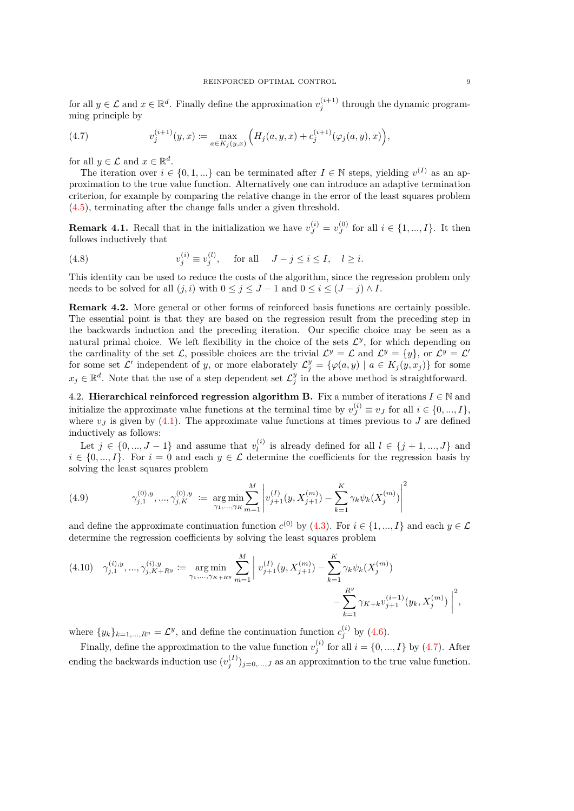for all  $y \in \mathcal{L}$  and  $x \in \mathbb{R}^d$ . Finally define the approximation  $v_j^{(i+1)}$  through the dynamic programming principle by

<span id="page-8-0"></span>(4.7) 
$$
v_j^{(i+1)}(y,x) := \max_{a \in K_j(y,x)} \left( H_j(a,y,x) + c_j^{(i+1)}(\varphi_j(a,y),x) \right),
$$

for all  $y \in \mathcal{L}$  and  $x \in \mathbb{R}^d$ .

The iteration over  $i \in \{0, 1, ...\}$  can be terminated after  $I \in \mathbb{N}$  steps, yielding  $v^{(I)}$  as an approximation to the true value function. Alternatively one can introduce an adaptive termination criterion, for example by comparing the relative change in the error of the least squares problem [\(4.5\)](#page-7-1), terminating after the change falls under a given threshold.

**Remark 4.1.** Recall that in the initialization we have  $v_J^{(i)} = v_J^{(0)}$  $J_J^{(0)}$  for all  $i \in \{1, ..., I\}$ . It then follows inductively that

<span id="page-8-1"></span>(4.8) 
$$
v_j^{(i)} \equiv v_j^{(l)}, \quad \text{for all} \quad J - j \le i \le I, \quad l \ge i.
$$

This identity can be used to reduce the costs of the algorithm, since the regression problem only needs to be solved for all  $(j, i)$  with  $0 \leq j \leq J - 1$  and  $0 \leq i \leq (J - j) \wedge I$ .

<span id="page-8-5"></span>**Remark 4.2.** More general or other forms of reinforced basis functions are certainly possible. The essential point is that they are based on the regression result from the preceding step in the backwards induction and the preceding iteration. Our specific choice may be seen as a natural primal choice. We left flexibility in the choice of the sets  $\mathcal{L}^y$ , for which depending on the cardinality of the set L, possible choices are the trivial  $\mathcal{L}^y = \mathcal{L}$  and  $\mathcal{L}^y = \{y\}$ , or  $\mathcal{L}^y = \mathcal{L}'$ for some set  $\mathcal{L}'$  independent of *y*, or more elaborately  $\mathcal{L}_j^y = \{ \varphi(a, y) \mid a \in K_j(y, x_j) \}$  for some  $x_j \in \mathbb{R}^d$ . Note that the use of a step dependent set  $\mathcal{L}^y_j$  in the above method is straightforward.

<span id="page-8-2"></span>4.2. **Hierarchical reinforced regression algorithm B.** Fix a number of iterations  $I \in \mathbb{N}$  and initialize the approximate value functions at the terminal time by  $v_J^{(i)} \equiv v_J$  for all  $i \in \{0, ..., I\}$ , where  $v<sub>J</sub>$  is given by [\(4.1\)](#page-7-2). The approximate value functions at times previous to  $J$  are defined inductively as follows:

Let  $j \in \{0, ..., J - 1\}$  and assume that  $v_l^{(i)}$  $l_l^{(i)}$  is already defined for all  $l \in \{j+1, ..., J\}$  and  $i \in \{0, ..., I\}$ . For  $i = 0$  and each  $y \in \mathcal{L}$  determine the coefficients for the regression basis by solving the least squares problem

<span id="page-8-3"></span>(4.9) 
$$
\gamma_{j,1}^{(0),y}, \ldots, \gamma_{j,K}^{(0),y} := \underset{\gamma_1, \ldots, \gamma_K}{\arg \min} \sum_{m=1}^{M} \left| v_{j+1}^{(I)}(y, X_{j+1}^{(m)}) - \sum_{k=1}^{K} \gamma_k \psi_k(X_j^{(m)}) \right|^2
$$

and define the approximate continuation function  $c^{(0)}$  by [\(4.3\)](#page-7-3). For  $i \in \{1, ..., I\}$  and each  $y \in \mathcal{L}$ determine the regression coefficients by solving the least squares problem

<span id="page-8-4"></span>
$$
(4.10) \quad \gamma_{j,1}^{(i),y}, \dots, \gamma_{j,K+R^y}^{(i),y} := \underset{\gamma_1, \dots, \gamma_{K+R^y}}{\arg \min} \sum_{m=1}^{M} \left| v_{j+1}^{(I)}(y, X_{j+1}^{(m)}) - \sum_{k=1}^{K} \gamma_k \psi_k(X_j^{(m)}) - \sum_{k=1}^{R^y} \gamma_{K+k} v_{j+1}^{(i-1)}(y_k, X_j^{(m)}) \right|^2,
$$

where  $\{y_k\}_{k=1,\dots,R}$   $y = \mathcal{L}^y$ , and define the continuation function  $c_j^{(i)}$  by [\(4.6\)](#page-7-4).

Finally, define the approximation to the value function  $v_j^{(i)}$  for all  $i = \{0, ..., I\}$  by [\(4.7\)](#page-8-0). After ending the backwards induction use  $(v_j^{(I)})_{j=0,\ldots,J}$  as an approximation to the true value function.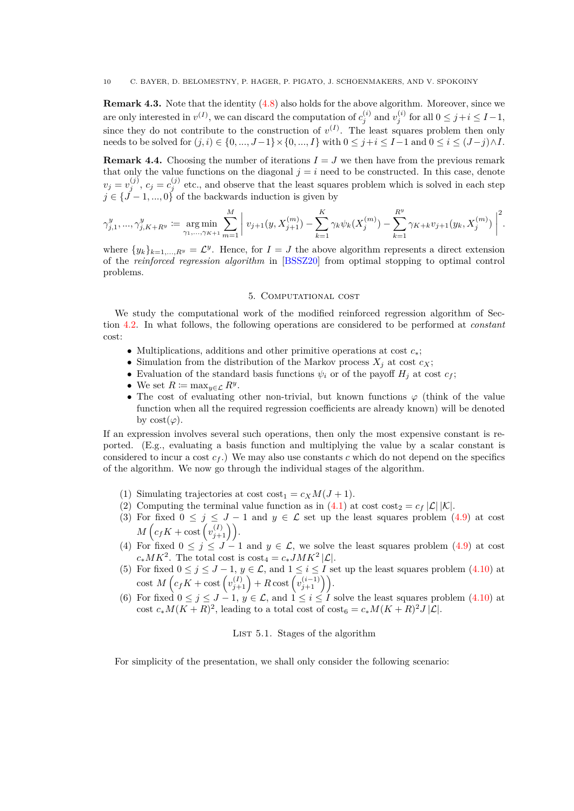**Remark 4.3.** Note that the identity  $(4.8)$  also holds for the above algorithm. Moreover, since we are only interested in  $v^{(I)}$ , we can discard the computation of  $c_j^{(i)}$  and  $v_j^{(i)}$  for all  $0 \le j + i \le I-1$ , since they do not contribute to the construction of  $v^{(I)}$ . The least squares problem then only needs to be solved for  $(j, i) \in \{0, ..., J-1\} \times \{0, ..., I\}$  with  $0 \leq j + i \leq I-1$  and  $0 \leq i \leq (J-j) \land I$ .

<span id="page-9-1"></span>**Remark 4.4.** Choosing the number of iterations  $I = J$  we then have from the previous remark that only the value functions on the diagonal  $j = i$  need to be constructed. In this case, denote  $v_j = v_j^{(j)}$ ,  $c_j = c_j^{(j)}$  etc., and observe that the least squares problem which is solved in each step  $j \in \{j-1, ..., 0\}$  of the backwards induction is given by

$$
\gamma_{j,1}^y,...,\gamma_{j,K+R^y}^y:=\underset{\gamma_1,...,\gamma_{K+1}}{\arg\min}\sum_{m=1}^M\bigg|\,v_{j+1}(y,X_{j+1}^{(m)})-\sum_{k=1}^K\gamma_k\psi_k(X_j^{(m)})-\sum_{k=1}^{R^y}\gamma_{K+k}v_{j+1}(y_k,X_j^{(m)})\,\bigg|^2.
$$

where  $\{y_k\}_{k=1,\dots,R}$   $y = \mathcal{L}^y$ . Hence, for  $I = J$  the above algorithm represents a direct extension of the *reinforced regression algorithm* in [\[BSSZ20\]](#page-23-9) from optimal stopping to optimal control problems.

## 5. Computational cost

<span id="page-9-0"></span>We study the computational work of the modified reinforced regression algorithm of Section [4.2.](#page-8-2) In what follows, the following operations are considered to be performed at *constant* cost:

- Multiplications, additions and other primitive operations at cost *c*∗;
- Simulation from the distribution of the Markov process  $X_i$  at cost  $c_X$ ;
- Evaluation of the standard basis functions  $\psi_i$  or of the payoff  $H_i$  at cost  $c_f$ ;
- We set  $R := \max_{y \in \mathcal{L}} R^y$ .
- The cost of evaluating other non-trivial, but known functions  $\varphi$  (think of the value function when all the required regression coefficients are already known) will be denoted by  $cost(\varphi)$ .

If an expression involves several such operations, then only the most expensive constant is reported. (E.g., evaluating a basis function and multiplying the value by a scalar constant is considered to incur a cost  $c_f$ .) We may also use constants *c* which do not depend on the specifics of the algorithm. We now go through the individual stages of the algorithm.

- (1) Simulating trajectories at cost  $\text{cost}_1 = c_X M(J+1)$ .
- (2) Computing the terminal value function as in [\(4.1\)](#page-7-2) at cost cost<sub>2</sub> =  $c_f |\mathcal{L}| |\mathcal{K}|$ .
- (3) For fixed  $0 \leq j \leq J-1$  and  $y \in \mathcal{L}$  set up the least squares problem [\(4.9\)](#page-8-3) at cost  $M\left(c_f K + \text{cost}\left(v_{j+1}^{(I)}\right)\right)$ .
- (4) For fixed  $0 \le j \le J 1$  and  $y \in \mathcal{L}$ , we solve the least squares problem [\(4.9\)](#page-8-3) at cost  $c_* M K^2$ . The total cost is  $\cos t_4 = c_* J M K^2 |\mathcal{L}|$ .
- (5) For fixed  $0 \le j \le J-1$ ,  $y \in \mathcal{L}$ , and  $1 \le i \le I$  set up the least squares problem [\(4.10\)](#page-8-4) at  $\text{cost } M\left(c_f K + \text{cost}\left(v_{j+1}^{(I)}\right) + R\text{cost}\left(v_{j+1}^{(i-1)}\right)\right).$
- (6) For fixed  $0 \leq j \leq J-1$ ,  $y \in \mathcal{L}$ , and  $1 \leq i \leq I$  solve the least squares problem [\(4.10\)](#page-8-4) at cost  $c_*M(K+R)^2$ , leading to a total cost of  $\text{cost}_6 = c_*M(K+R)^2J|\mathcal{L}|$ .

LIST 5.1. Stages of the algorithm

For simplicity of the presentation, we shall only consider the following scenario: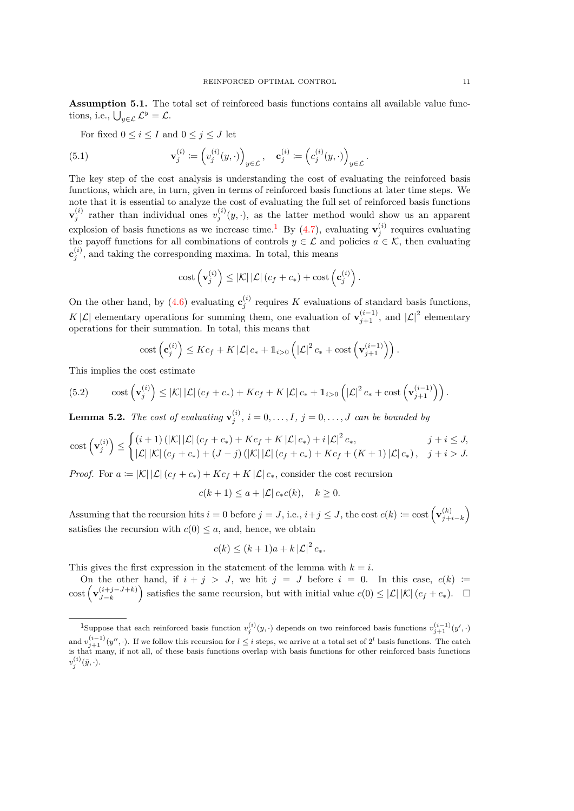**Assumption 5.1.** The total set of reinforced basis functions contains all available value functions, i.e.,  $\bigcup_{y \in \mathcal{L}} \mathcal{L}^y = \mathcal{L}$ .

For fixed  $0 \le i \le I$  and  $0 \le j \le J$  let

(5.1) 
$$
\mathbf{v}_j^{(i)} := \left(v_j^{(i)}(y, \cdot)\right)_{y \in \mathcal{L}}, \quad \mathbf{c}_j^{(i)} := \left(c_j^{(i)}(y, \cdot)\right)_{y \in \mathcal{L}}.
$$

The key step of the cost analysis is understanding the cost of evaluating the reinforced basis functions, which are, in turn, given in terms of reinforced basis functions at later time steps. We note that it is essential to analyze the cost of evaluating the full set of reinforced basis functions  $\mathbf{v}_j^{(i)}$  rather than individual ones  $v_j^{(i)}(y, \cdot)$ , as the latter method would show us an apparent explosion of basis functions as we increase time.<sup>[1](#page-10-0)</sup> By [\(4.7\)](#page-8-0), evaluating  $\mathbf{v}_j^{(i)}$  requires evaluating the payoff functions for all combinations of controls  $y \in \mathcal{L}$  and policies  $a \in \mathcal{K}$ , then evaluating  $\mathbf{c}_{j}^{(i)}$ , and taking the corresponding maxima. In total, this means

$$
\mathrm{cost}\left(\mathbf{v}_{j}^{(i)}\right) \leq |\mathcal{K}| |\mathcal{L}| \left(c_{f}+c_{*}\right) + \mathrm{cost}\left(\mathbf{c}_{j}^{(i)}\right).
$$

On the other hand, by [\(4.6\)](#page-7-4) evaluating  $\mathbf{c}_{j}^{(i)}$  requires *K* evaluations of standard basis functions, *K* | *L* | elementary operations for summing them, one evaluation of  $\mathbf{v}_{j+1}^{(i-1)}$ , and  $|\mathcal{L}|^2$  elementary operations for their summation. In total, this means that

$$
\mathrm{cost}\left(\mathbf{c}_{j}^{(i)}\right) \leq Kc_f + K\left|\mathcal{L}\right|c_* + \mathbb{1}_{i>0}\left(\left|\mathcal{L}\right|^2 c_* + \mathrm{cost}\left(\mathbf{v}_{j+1}^{(i-1)}\right)\right).
$$

This implies the cost estimate

(5.2) 
$$
\text{cost}\left(\mathbf{v}_{j}^{(i)}\right) \leq |\mathcal{K}| |\mathcal{L}| \left(c_f + c_*\right) + Kc_f + K|\mathcal{L}| c_* + 1_{i>0} \left(|\mathcal{L}|^2 c_* + \text{cost}\left(\mathbf{v}_{j+1}^{(i-1)}\right)\right).
$$

<span id="page-10-1"></span>**Lemma 5.2.** *The cost of evaluating*  $\mathbf{v}_j^{(i)}$ ,  $i = 0, \ldots, I$ ,  $j = 0, \ldots, J$  *can be bounded by* 

cost 
$$
(\mathbf{v}_j^{(i)}) \leq \begin{cases} (i+1) \left( |\mathcal{K}| |\mathcal{L}| (c_f + c_*) + K c_f + K |\mathcal{L}| c_*) + i |\mathcal{L}|^2 c_*, & j + i \leq J, \\ |\mathcal{L}| |\mathcal{K}| (c_f + c_*) + (J - j) \left( |\mathcal{K}| |\mathcal{L}| (c_f + c_*) + K c_f + (K + 1) |\mathcal{L}| c_* \right), & j + i > J. \end{cases}
$$

*Proof.* For  $a \coloneqq |\mathcal{K}| |\mathcal{L}| (c_f + c_*) + K c_f + K |\mathcal{L}| c_*,$  consider the cost recursion

$$
c(k+1) \le a + |\mathcal{L}| c_* c(k), \quad k \ge 0.
$$

Assuming that the recursion hits  $i = 0$  before  $j = J$ , i.e.,  $i + j \leq J$ , the cost  $c(k) := \text{cost}\left(\mathbf{v}_{i+1}^{(k)}\right)$  $\binom{k}{j+i-k}$ satisfies the recursion with  $c(0) \leq a$ , and, hence, we obtain

$$
c(k) \le (k+1)a + k |\mathcal{L}|^2 c_*.
$$

This gives the first expression in the statement of the lemma with  $k = i$ .

On the other hand, if  $i + j > J$ , we hit  $j = J$  before  $i = 0$ . In this case,  $c(k) :=$  $\cosh\left(\mathbf{v}_{I-k}^{(i+j-J+k)}\right)$  $\left(\frac{(i+j-J+k)}{J-k}\right)$  satisfies the same recursion, but with initial value  $c(0) \leq |\mathcal{L}| |\mathcal{K}| (c_f + c_*)$ . □

<span id="page-10-0"></span><sup>&</sup>lt;sup>1</sup>Suppose that each reinforced basis function  $v_j^{(i)}(y, \cdot)$  depends on two reinforced basis functions  $v_{j+1}^{(i-1)}(y', \cdot)$ and  $v_{j+1}^{(i-1)}(y'',\cdot)$ . If we follow this recursion for  $l \leq i$  steps, we arrive at a total set of  $2^l$  basis functions. The catch is that many, if not all, of these basis functions overlap with basis functions for other reinforced basis functions  $v_j^{(i)}(\tilde{y},\cdot).$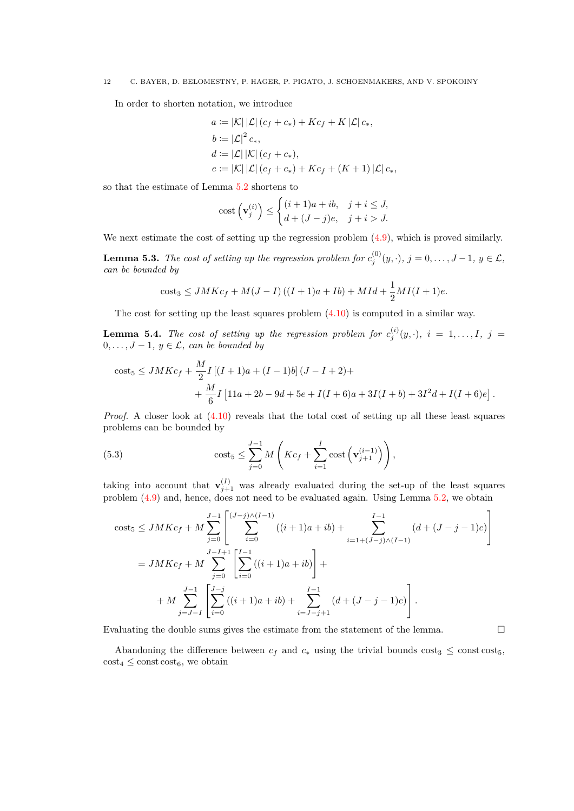In order to shorten notation, we introduce

$$
a := |K| |\mathcal{L}| (c_f + c_*) + Kc_f + K |\mathcal{L}| c_*,
$$
  
\n
$$
b := |\mathcal{L}|^2 c_*,
$$
  
\n
$$
d := |\mathcal{L}| |\mathcal{K}| (c_f + c_*),
$$
  
\n
$$
e := |K| |\mathcal{L}| (c_f + c_*) + Kc_f + (K + 1) |\mathcal{L}| c_*,
$$

so that the estimate of Lemma [5.2](#page-10-1) shortens to

cost 
$$
\left(\mathbf{v}_j^{(i)}\right) \le \begin{cases} (i+1)a + ib, & j+i \le J, \\ d + (J-j)e, & j+i > J. \end{cases}
$$

We next estimate the cost of setting up the regression problem  $(4.9)$ , which is proved similarly.

**Lemma 5.3.** *The cost of setting up the regression problem for*  $c_j^{(0)}(y, \cdot)$ ,  $j = 0, \ldots, J-1$ ,  $y \in \mathcal{L}$ , *can be bounded by*

cost<sub>3</sub> 
$$
\leq
$$
  $JMKc_f + M(J - I)((I + 1)a + Ib) + MId + \frac{1}{2}MI(I + 1)e$ .

The cost for setting up the least squares problem [\(4.10\)](#page-8-4) is computed in a similar way.

**Lemma 5.4.** *The cost of setting up the regression problem for*  $c_j^{(i)}(y, \cdot)$ ,  $i = 1, \ldots, I$ ,  $j =$ 0*,..., J* − 1*,*  $y \in \mathcal{L}$ *, can be bounded by* 

cost<sub>5</sub> 
$$
\leq
$$
  $JMKc_f + \frac{M}{2}I[(I + 1)a + (I - 1)b](J - I + 2) +$   
+  $\frac{M}{6}I[11a + 2b - 9d + 5e + I(I + 6)a + 3I(I + b) + 3I^2d + I(I + 6)e].$ 

*Proof.* A closer look at  $(4.10)$  reveals that the total cost of setting up all these least squares problems can be bounded by

<span id="page-11-0"></span>(5.3) 
$$
\cos t_5 \leq \sum_{j=0}^{J-1} M\left(Kc_f + \sum_{i=1}^{I} \cos t\left(\mathbf{v}_{j+1}^{(i-1)}\right)\right),
$$

taking into account that  $\mathbf{v}_{j+1}^{(I)}$  was already evaluated during the set-up of the least squares problem [\(4.9\)](#page-8-3) and, hence, does not need to be evaluated again. Using Lemma [5.2,](#page-10-1) we obtain

cost<sub>5</sub> 
$$
\leq
$$
  $JMKc_f + M \sum_{j=0}^{J-1} \left[ \sum_{i=0}^{(J-j)\wedge (I-1)} ((i+1)a + ib) + \sum_{i=1+(J-j)\wedge (I-1)}^{I-1} (d + (J-j-1)e) \right]$   
=  $JMKc_f + M \sum_{j=0}^{J-I+1} \left[ \sum_{i=0}^{I-1} ((i+1)a + ib) + \sum_{i=J-j+1}^{I-1} (d + (J-j-1)e) \right].$ 

Evaluating the double sums gives the estimate from the statement of the lemma.  $\Box$ 

Abandoning the difference between  $c_f$  and  $c_*$  using the trivial bounds  $\cos t_3 \leq \cos t \cos t_5$ ,  $\text{cost}_4 \leq \text{const} \cdot \text{cost}_6$ , we obtain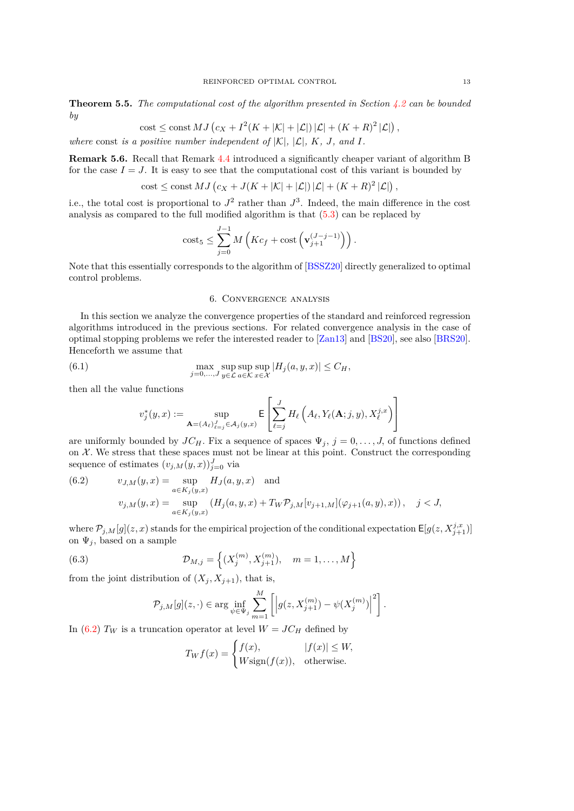**Theorem 5.5.** *The computational cost of the algorithm presented in Section [4.2](#page-8-2) can be bounded by*

cost 
$$
\leq
$$
 const  $MJ\left(c_X + I^2(K + |\mathcal{K}| + |\mathcal{L}|) |\mathcal{L}| + (K + R)^2 |\mathcal{L}|\right)$ ,

*where* const *is a positive number independent of*  $|K|$ *,*  $|L|$ *,*  $K$ *, J<sub></sub>, and I.* 

**Remark 5.6.** Recall that Remark [4.4](#page-9-1) introduced a significantly cheaper variant of algorithm B for the case  $I = J$ . It is easy to see that the computational cost of this variant is bounded by

$$
\mathrm{cost} \leq \mathrm{const} \, MJ \left( c_X + J(K + |\mathcal{K}| + |\mathcal{L}|) |\mathcal{L}| + (K + R)^2 |\mathcal{L}| \right),
$$

i.e., the total cost is proportional to  $J^2$  rather than  $J^3$ . Indeed, the main difference in the cost analysis as compared to the full modified algorithm is that [\(5.3\)](#page-11-0) can be replaced by

cost<sub>5</sub> 
$$
\leq \sum_{j=0}^{J-1} M\left(Kc_f + \text{cost}\left(\mathbf{v}_{j+1}^{(J-j-1)}\right)\right).
$$

Note that this essentially corresponds to the algorithm of [\[BSSZ20\]](#page-23-9) directly generalized to optimal control problems.

# 6. Convergence analysis

<span id="page-12-0"></span>In this section we analyze the convergence properties of the standard and reinforced regression algorithms introduced in the previous sections. For related convergence analysis in the case of optimal stopping problems we refer the interested reader to [\[Zan13\]](#page-24-0) and [\[BS20\]](#page-23-12), see also [\[BRS20\]](#page-23-13). Henceforth we assume that

(6.1) 
$$
\max_{j=0,\ldots,J} \sup_{y\in\mathcal{L}} \sup_{a\in\mathcal{K}} \sup_{x\in\mathcal{X}} |H_j(a,y,x)| \leq C_H,
$$

then all the value functions

$$
v_j^*(y,x) := \sup_{\mathbf{A} = (A_\ell)_{\ell=j}^J \in \mathcal{A}_j(y,x)} \mathsf{E}\left[\sum_{\ell=j}^J H_\ell\left(A_\ell, Y_\ell(\mathbf{A};j,y), X_\ell^{j,x}\right)\right]
$$

 $\mathbf{r}$ 

 $\mathbf{\overline{a}}$ 

are uniformly bounded by  $JC_H$ . Fix a sequence of spaces  $\Psi_j$ ,  $j = 0, \ldots, J$ , of functions defined on  $X$ . We stress that these spaces must not be linear at this point. Construct the corresponding sequence of estimates  $(v_{j,M}(y, x))_{j=0}^J$  via

<span id="page-12-1"></span>(6.2) 
$$
v_{J,M}(y,x) = \sup_{a \in K_j(y,x)} H_J(a,y,x) \text{ and}
$$

$$
v_{j,M}(y,x) = \sup_{a \in K_j(y,x)} (H_j(a,y,x) + T_W \mathcal{P}_{j,M}[v_{j+1,M}](\varphi_{j+1}(a,y),x)), \quad j < J,
$$

where  $\mathcal{P}_{j,M}[g](z,x)$  stands for the empirical projection of the conditional expectation  $\mathsf{E}[g(z,X^{j,x}_{j+1})]$ on  $\Psi_j$ , based on a sample

(6.3) 
$$
\mathcal{D}_{M,j} = \left\{ (X_j^{(m)}, X_{j+1}^{(m)}), \quad m = 1, ..., M \right\}
$$

from the joint distribution of  $(X_i, X_{i+1})$ , that is,

<span id="page-12-2"></span>
$$
\mathcal{P}_{j,M}[g](z,\cdot) \in \arg \inf_{\psi \in \Psi_j} \sum_{m=1}^M \left[ \left| g(z, X_{j+1}^{(m)}) - \psi(X_j^{(m)}) \right|^2 \right].
$$

In [\(6.2\)](#page-12-1)  $T_W$  is a truncation operator at level  $W = JC_H$  defined by

$$
T_W f(x) = \begin{cases} f(x), & |f(x)| \le W, \\ W \text{sign}(f(x)), & \text{otherwise.} \end{cases}
$$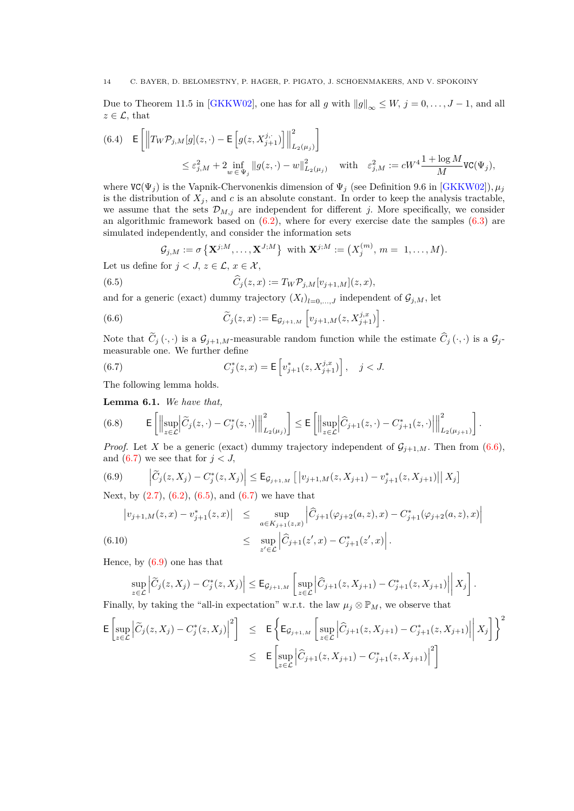Due to Theorem 11.5 in [\[GKKW02\]](#page-23-14), one has for all *g* with  $||g||_{\infty} \leq W$ ,  $j = 0, \ldots, J - 1$ , and all  $z \in \mathcal{L}$ , that

<span id="page-13-5"></span>
$$
\begin{array}{llll} \displaystyle (6.4) & \mathsf{E}\left[\left\|T_W \mathcal{P}_{j,M}[g](z,\cdot)-\mathsf{E}\left[g(z,X^{j,\cdot}_{j+1})\right]\right\|^2_{L_2(\mu_j)}\right] \\ & \leq \varepsilon_{j,M}^2+2\inf_{w\,\in\,\Psi_j}\left\|g(z,\cdot)-w\right\|^2_{L_2(\mu_j)} & \text{with} & \varepsilon_{j,M}^2:= cW^4\frac{1+\log M}{M} \mathrm{VC}(\Psi_j), \end{array}
$$

where  $VC(\Psi_j)$  is the Vapnik-Chervonenkis dimension of  $\Psi_j$  (see Definition 9.6 in [\[GKKW02\]](#page-23-14)),  $\mu_j$ is the distribution of  $X_j$ , and  $c$  is an absolute constant. In order to keep the analysis tractable, we assume that the sets  $\mathcal{D}_{M,j}$  are independent for different *j*. More specifically, we consider an algorithmic framework based on  $(6.2)$ , where for every exercise date the samples  $(6.3)$  are simulated independently, and consider the information sets

<span id="page-13-2"></span><span id="page-13-0"></span>
$$
\mathcal{G}_{j,M} := \sigma\left\{ \mathbf{X}^{j,M}, \ldots, \mathbf{X}^{J,M} \right\} \text{ with } \mathbf{X}^{j,M} := \left( X_j^{(m)}, m = 1, \ldots, M \right).
$$

Let us define for  $j < J$ ,  $z \in \mathcal{L}$ ,  $x \in \mathcal{X}$ ,

(6.5) 
$$
\widehat{C}_j(z,x) := T_W \mathcal{P}_{j,M}[v_{j+1,M}](z,x),
$$

and for a generic (exact) dummy trajectory  $(X_l)_{l=0,\ldots,J}$  independent of  $\mathcal{G}_{j,M}$ , let

(6.6) 
$$
\widetilde{C}_j(z,x) := \mathsf{E}_{\mathcal{G}_{j+1,M}} \left[ v_{j+1,M}(z,X_{j+1}^{j,x}) \right].
$$

Note that  $\widetilde{C}_j(\cdot, \cdot)$  is a  $\mathcal{G}_{j+1,M}$ -measurable random function while the estimate  $\widehat{C}_j(\cdot, \cdot)$  is a  $\mathcal{G}_j$ measurable one. We further define

<span id="page-13-1"></span>(6.7) 
$$
C_j^*(z, x) = \mathsf{E}\left[v_{j+1}^*(z, X_{j+1}^{j,x})\right], \quad j < J.
$$

The following lemma holds.

<span id="page-13-4"></span>**Lemma 6.1.** *We have that,*

(6.8) 
$$
\mathsf{E}\left[\left\|\sup_{z\in\mathcal{L}}\left|\widetilde{C}_j(z,\cdot)-C_j^*(z,\cdot)\right|\right\|_{L_2(\mu_j)}^2\right] \leq \mathsf{E}\left[\left\|\sup_{z\in\mathcal{L}}\left|\widehat{C}_{j+1}(z,\cdot)-C_{j+1}^*(z,\cdot)\right|\right\|_{L_2(\mu_{j+1})}^2\right].
$$

*Proof.* Let *X* be a generic (exact) dummy trajectory independent of  $\mathcal{G}_{j+1,M}$ . Then from [\(6.6\)](#page-13-0), and  $(6.7)$  we see that for  $j < J$ ,

<span id="page-13-3"></span>(6.9) 
$$
\left| \widetilde{C}_j(z, X_j) - C_j^*(z, X_j) \right| \leq \mathsf{E}_{\mathcal{G}_{j+1,M}} \left[ \left| v_{j+1,M}(z, X_{j+1}) - v_{j+1}^*(z, X_{j+1}) \right| \right| X_j \right]
$$

Next, by  $(2.7)$ ,  $(6.2)$ ,  $(6.5)$ , and  $(6.7)$  we have that

<span id="page-13-6"></span>
$$
\begin{array}{rcl}\n|v_{j+1,M}(z,x)-v_{j+1}^*(z,x)| & \leq & \sup_{a\in K_{j+1}(z,x)} \left| \widehat{C}_{j+1}(\varphi_{j+2}(a,z),x) - C_{j+1}^*(\varphi_{j+2}(a,z),x) \right| \\
& \leq & \sup_{z'\in\mathcal{L}} \left| \widehat{C}_{j+1}(z',x) - C_{j+1}^*(z',x) \right|.\n\end{array}
$$
\n(6.10)

Hence, by [\(6.9\)](#page-13-3) one has that

$$
\sup_{z \in \mathcal{L}} \left| \widetilde{C}_{j}(z, X_{j}) - C_{j}^{*}(z, X_{j}) \right| \leq \mathsf{E}_{\mathcal{G}_{j+1,M}} \left[ \sup_{z \in \mathcal{L}} \left| \widehat{C}_{j+1}(z, X_{j+1}) - C_{j+1}^{*}(z, X_{j+1}) \right| \middle| X_{j} \right].
$$

Finally, by taking the "all-in expectation" w.r.t. the law  $\mu_j \otimes \mathbb{P}_M$ , we observe that

$$
\mathsf{E}\left[\sup_{z\in\mathcal{L}}\left|\widetilde{C}_{j}(z,X_{j})-C_{j}^{*}(z,X_{j})\right|^{2}\right] \leq \mathsf{E}\left\{\mathsf{E}_{\mathcal{G}_{j+1,M}}\left[\sup_{z\in\mathcal{L}}\left|\widehat{C}_{j+1}(z,X_{j+1})-C_{j+1}^{*}(z,X_{j+1})\right|\Big|X_{j}\right]\right\}^{2}
$$
\n
$$
\leq \mathsf{E}\left[\sup_{z\in\mathcal{L}}\left|\widehat{C}_{j+1}(z,X_{j+1})-C_{j+1}^{*}(z,X_{j+1})\right|^{2}\right]
$$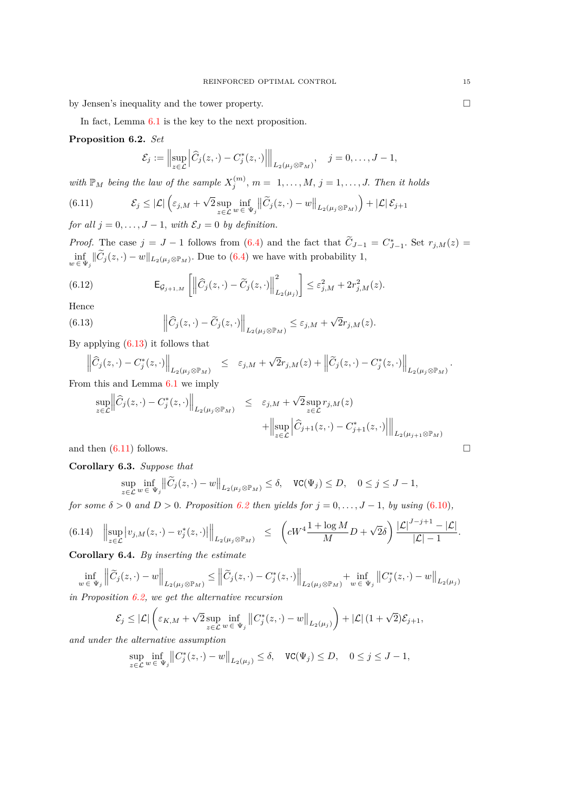by Jensen's inequality and the tower property.

In fact, Lemma [6.1](#page-13-4) is the key to the next proposition.

<span id="page-14-2"></span>**Proposition 6.2.** *Set*

<span id="page-14-1"></span>
$$
\mathcal{E}_j := \left\| \sup_{z \in \mathcal{L}} \left| \widehat{C}_j(z, \cdot) - C_j^*(z, \cdot) \right| \right\|_{L_2(\mu_j \otimes \mathbb{P}_M)}, \quad j = 0, \dots, J-1,
$$

*with*  $\mathbb{P}_M$  *being the law of the sample*  $X_j^{(m)}$ ,  $m = 1, \ldots, M$ ,  $j = 1, \ldots, J$ . Then it holds

(6.11) 
$$
\mathcal{E}_{j} \leq |\mathcal{L}| \left( \varepsilon_{j,M} + \sqrt{2} \sup_{z \in \mathcal{L}} \inf_{w \in \Psi_{j}} \left\| \widetilde{C}_{j}(z,\cdot) - w \right\|_{L_{2}(\mu_{j} \otimes \mathbb{P}_{M})} \right) + |\mathcal{L}| \mathcal{E}_{j+1}
$$

*for all*  $j = 0, \ldots, J - 1$ *, with*  $\mathcal{E}_J = 0$  *by definition.* 

*Proof.* The case  $j = J - 1$  follows from [\(6.4\)](#page-13-5) and the fact that  $\tilde{C}_{J-1} = C^*_{J-1}$ . Set  $r_{j,M}(z) =$  $\inf_{w \in \Psi_j} ||C_j(z, \cdot) - w||_{L_2(\mu_j \otimes \mathbb{P}_M)}$ . Due to [\(6.4\)](#page-13-5) we have with probability 1*,* 

(6.12) 
$$
\mathsf{E}_{\mathcal{G}_{j+1,M}}\left[\left\|\widehat{C}_j(z,\cdot)-\widetilde{C}_j(z,\cdot)\right\|^2_{L_2(\mu_j)}\right] \leq \varepsilon_{j,M}^2 + 2r_{j,M}^2(z).
$$

Hence

(6.13) 
$$
\left\|\widehat{C}_j(z,\cdot)-\widetilde{C}_j(z,\cdot)\right\|_{L_2(\mu_j\otimes\mathbb{P}_M)}\leq\varepsilon_{j,M}+\sqrt{2}r_{j,M}(z).
$$

By applying [\(6.13\)](#page-14-0) it follows that

<span id="page-14-0"></span>
$$
\left\|\widehat{C}_j(z,\cdot)-C_j^*(z,\cdot)\right\|_{L_2(\mu_j\otimes \mathbb{P}_M)}\quad \le\quad \varepsilon_{j,M}+\sqrt{2}r_{j,M}(z)+\left\|\widetilde{C}_j(z,\cdot)-C_j^*(z,\cdot)\right\|_{L_2(\mu_j\otimes \mathbb{P}_M)}.
$$

From this and Lemma [6.1](#page-13-4) we imply

$$
\sup_{z \in \mathcal{L}} \left\| \widehat{C}_j(z, \cdot) - C_j^*(z, \cdot) \right\|_{L_2(\mu_j \otimes \mathbb{P}_M)} \leq \varepsilon_{j,M} + \sqrt{2} \sup_{z \in \mathcal{L}} r_{j,M}(z) + \left\| \sup_{z \in \mathcal{L}} \left| \widehat{C}_{j+1}(z, \cdot) - C_{j+1}^*(z, \cdot) \right| \right\|_{L_2(\mu_{j+1} \otimes \mathbb{P}_M)}
$$
\nand then (6.11) follows.

<span id="page-14-4"></span>**Corollary 6.3.** *Suppose that*

$$
\sup_{z \in \mathcal{L}} \inf_{w \in \Psi_j} \left\| \widetilde{C}_j(z, \cdot) - w \right\|_{L_2(\mu_j \otimes \mathbb{P}_M)} \le \delta, \quad \text{VC}(\Psi_j) \le D, \quad 0 \le j \le J - 1,
$$

*for some*  $\delta > 0$  *and*  $D > 0$ *. Proposition* [6.2](#page-14-2) *then yields for*  $j = 0, \ldots, J - 1$ *, by using* [\(6.10\)](#page-13-6)*,* 

<span id="page-14-3"></span>
$$
(6.14) \quad \left\|\sup_{z\in\mathcal{L}}\left|v_{j,M}(z,\cdot)-v_j^*(z,\cdot)\right|\right\|_{L_2(\mu_j\otimes\mathbb{P}_M)} \quad \leq \quad \left(cW^4\frac{1+\log M}{M}D+\sqrt{2}\delta\right)\frac{|\mathcal{L}|^{J-j+1}-|\mathcal{L}|}{|\mathcal{L}|-1}.
$$

**Corollary 6.4.** *By inserting the estimate*

$$
\inf_{w \in \Psi_j} \left\| \widetilde{C}_j(z, \cdot) - w \right\|_{L_2(\mu_j \otimes \mathbb{P}_M)} \le \left\| \widetilde{C}_j(z, \cdot) - C_j^*(z, \cdot) \right\|_{L_2(\mu_j \otimes \mathbb{P}_M)} + \inf_{w \in \Psi_j} \left\| C_j^*(z, \cdot) - w \right\|_{L_2(\mu_j \otimes \mathbb{P}_M)}
$$

*in Proposition [6.2,](#page-14-2) we get the alternative recursion*

$$
\mathcal{E}_j \leq \left|\mathcal{L}\right| \left(\varepsilon_{K,M} + \sqrt{2} \sup_{z \in \mathcal{L}} \inf_{w \,\in \,\Psi_j} \left\|C_j^*(z,\cdot)-w\right\|_{L_2(\mu_j)}\right) + \left|\mathcal{L}\right| (1+\sqrt{2}) \mathcal{E}_{j+1},
$$

*and under the alternative assumption*

$$
\sup_{z \in \mathcal{L}} \inf_{w \in \Psi_j} \left\| C_j^*(z, \cdot) - w \right\|_{L_2(\mu_j)} \le \delta, \quad \text{VC}(\Psi_j) \le D, \quad 0 \le j \le J - 1,
$$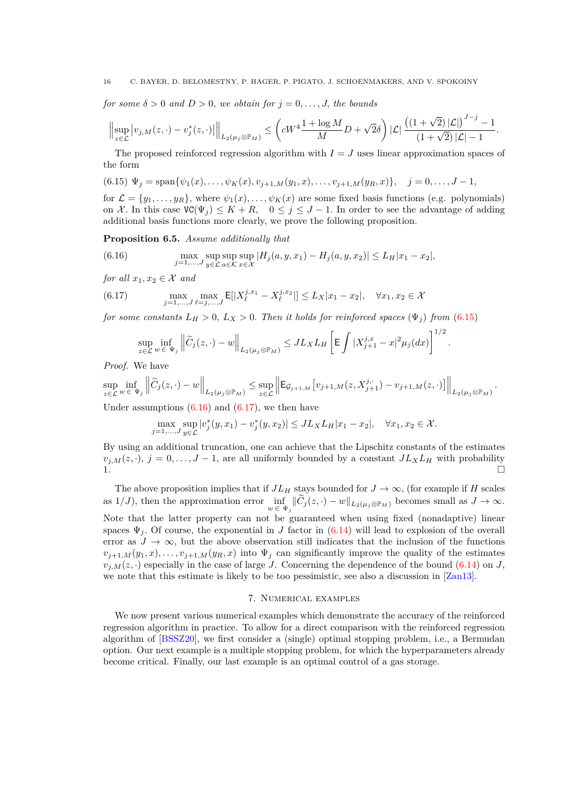*for some*  $\delta > 0$  *and*  $D > 0$ *, we obtain for*  $j = 0, \ldots, J$ *, the bounds* 

$$
\Bigl\| \sup_{z\in \mathcal{L}} \big| v_{j,M}(z,\cdot) - v_j^*(z,\cdot)\big| \Bigr\|_{L_2(\mu_j\otimes \mathbb{P}_M)} \leq \left( c W^4 \frac{1+\log M}{M} D + \sqrt{2}\delta \right) |\mathcal{L}| \, \frac{\bigl( (1+\sqrt{2})\,|\mathcal{L}| \bigr)^{J-j} - 1}{(1+\sqrt{2})\,|\mathcal{L}| - 1}.
$$

The proposed reinforced regression algorithm with  $I = J$  uses linear approximation spaces of the form

<span id="page-15-1"></span>
$$
(6.15) \Psi_j = \text{span}\{\psi_1(x), \dots, \psi_K(x), v_{j+1,M}(y_1, x), \dots, v_{j+1,M}(y_R, x)\}, \quad j = 0, \dots, J-1,
$$

for  $\mathcal{L} = \{y_1, \ldots, y_R\}$ , where  $\psi_1(x), \ldots, \psi_K(x)$  are some fixed basis functions (e.g. polynomials) on X. In this case  $VC(\Psi_j) \leq K + R$ ,  $0 \leq j \leq J - 1$ . In order to see the advantage of adding additional basis functions more clearly, we prove the following proposition.

**Proposition 6.5.** *Assume additionally that*

<span id="page-15-2"></span>(6.16) 
$$
\max_{j=1,...,J} \sup_{y \in \mathcal{L}} \sup_{a \in \mathcal{K}} \sup_{x \in \mathcal{X}} |H_j(a, y, x_1) - H_j(a, y, x_2)| \le L_H |x_1 - x_2|,
$$

*for all*  $x_1, x_2 \in \mathcal{X}$  *and* 

(6.17) 
$$
\max_{j=1,...,J} \max_{\ell=j,...,J} E[|X_{\ell}^{j,x_1} - X_{\ell}^{j,x_2}|] \le L_X |x_1 - x_2|, \quad \forall x_1, x_2 \in \mathcal{X}
$$

*for some constants*  $L_H > 0$ ,  $L_X > 0$ . *Then it holds for reinforced spaces* ( $\Psi_i$ ) *from* [\(6.15\)](#page-15-1)

<span id="page-15-3"></span>
$$
\sup_{z \in \mathcal{L}} \inf_{w \in \Psi_j} \left\| \widetilde{C}_j(z, \cdot) - w \right\|_{L_2(\mu_j \otimes \mathbb{P}_M)} \leq J L_X L_H \left[ \mathsf{E} \int |X^{j,x}_{j+1} - x|^2 \mu_j(dx) \right]^{1/2}
$$

*.*

*Proof.* We have

$$
\sup_{z \in \mathcal{L}} \inf_{w \in \Psi_j} \left\| \widetilde{C}_j(z, \cdot) - w \right\|_{L_2(\mu_j \otimes \mathbb{P}_M)} \leq \sup_{z \in \mathcal{L}} \left\| \mathsf{E}_{\mathcal{G}_{j+1,M}}[v_{j+1,M}(z, X^{j,\cdot}_{j+1}) - v_{j+1,M}(z, \cdot)] \right\|_{L_2(\mu_j \otimes \mathbb{P}_M)}.
$$
  
Under assumptions (6.16) and (6.17), we then have

$$
\max_{j=1,\ldots,J}\sup_{y\in\mathcal{L}}|v_j^*(y,x_1)-v_j^*(y,x_2)|\leq J L_XL_H|x_1-x_2|,\quad\forall x_1,x_2\in\mathcal{X}.
$$

By using an additional truncation, one can achieve that the Lipschitz constants of the estimates  $v_{i,M}(z, \cdot)$ ,  $j = 0, \ldots, J-1$ , are all uniformly bounded by a constant  $J L_X L_H$  with probability 1*.*

The above proposition implies that if  $JL_H$  stays bounded for  $J \to \infty$ , (for example if *H* scales as  $1/J$ , then the approximation error  $\inf_{w \in \Psi_j} ||C_j(z, \cdot) - w||_{L_2(\mu_j \otimes \mathbb{P}_M)}$  becomes small as  $J \to \infty$ . Note that the latter property can not be guaranteed when using fixed (nonadaptive) linear spaces  $\Psi_i$ . Of course, the exponential in *J* factor in [\(6.14\)](#page-14-3) will lead to explosion of the overall error as  $J \to \infty$ , but the above observation still indicates that the inclusion of the functions  $v_{i+1,M}(y_1, x), \ldots, v_{i+1,M}(y_R, x)$  into  $\Psi_i$  can significantly improve the quality of the estimates  $v_{i,M}(z, \cdot)$  especially in the case of large *J*. Concerning the dependence of the bound [\(6.14\)](#page-14-3) on *J*, we note that this estimate is likely to be too pessimistic, see also a discussion in [\[Zan13\]](#page-24-0).

## 7. Numerical examples

<span id="page-15-0"></span>We now present various numerical examples which demonstrate the accuracy of the reinforced regression algorithm in practice. To allow for a direct comparison with the reinforced regression algorithm of [\[BSSZ20\]](#page-23-9), we first consider a (single) optimal stopping problem, i.e., a Bermudan option. Our next example is a multiple stopping problem, for which the hyperparameters already become critical. Finally, our last example is an optimal control of a gas storage.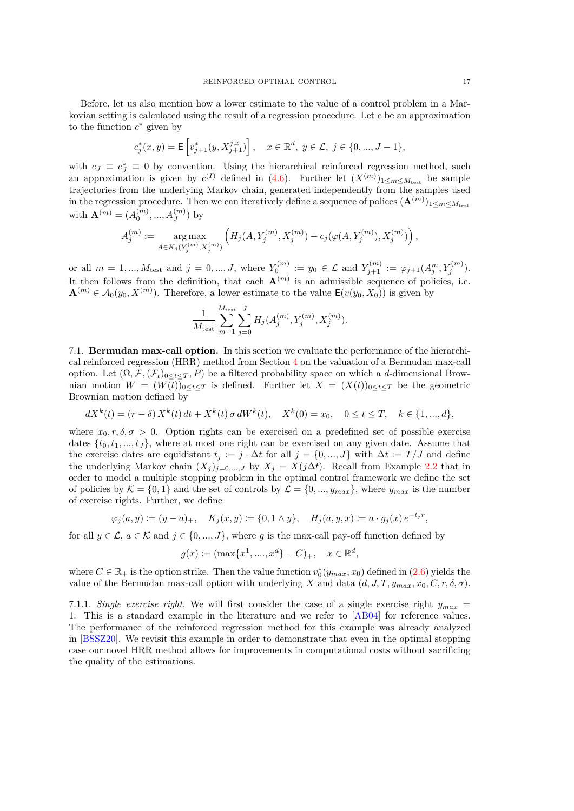Before, let us also mention how a lower estimate to the value of a control problem in a Markovian setting is calculated using the result of a regression procedure. Let *c* be an approximation to the function  $c^*$  given by

$$
c_j^*(x, y) = \mathsf{E}\left[v_{j+1}^*(y, X_{j+1}^{j,x})\right], \quad x \in \mathbb{R}^d, \ y \in \mathcal{L}, \ j \in \{0, ..., J-1\},\
$$

with  $c_J \equiv c_J^* \equiv 0$  by convention. Using the hierarchical reinforced regression method, such an approximation is given by  $c^{(I)}$  defined in [\(4.6\)](#page-7-4). Further let  $(X^{(m)})_{1 \le m \le M_{\text{test}}}$  be sample trajectories from the underlying Markov chain, generated independently from the samples used in the regression procedure. Then we can iteratively define a sequence of polices  $(\mathbf{A}^{(m)})_{1 \le m \le M_{\text{test}}}$ with  $\mathbf{A}^{(m)} = (A_0^{(m)}, ..., A_J^{(m)})$  by

$$
A_j^{(m)} := \mathop{\arg\max}\limits_{A \in K_j(Y_j^{(m)}, X_j^{(m)})} \left( H_j(A, Y_j^{(m)}, X_j^{(m)}) + c_j(\varphi(A, Y_j^{(m)}), X_j^{(m)}) \right),
$$

or all  $m = 1, ..., M_{test}$  and  $j = 0, ..., J$ , where  $Y_0^{(m)} := y_0 \in \mathcal{L}$  and  $Y_{j+1}^{(m)} := \varphi_{j+1}(A_j^m, Y_j^{(m)})$ . It then follows from the definition, that each  $\mathbf{A}^{(m)}$  is an admissible sequence of policies, i.e.  $\mathbf{A}^{(m)} \in \mathcal{A}_0(y_0, X^{(m)})$ . Therefore, a lower estimate to the value  $\mathsf{E}(v(y_0, X_0))$  is given by

$$
\frac{1}{M_{\text{test}}} \sum_{m=1}^{M_{\text{test}}} \sum_{j=0}^{J} H_j(A_j^{(m)}, Y_j^{(m)}, X_j^{(m)}).
$$

7.1. **Bermudan max-call option.** In this section we evaluate the performance of the hierarchical reinforced regression (HRR) method from Section [4](#page-7-0) on the valuation of a Bermudan max-call option. Let  $(\Omega, \mathcal{F}, (\mathcal{F}_t)_{0 \leq t \leq T}, P)$  be a filtered probability space on which a *d*-dimensional Brownian motion  $W = (W(t))_{0 \le t \le T}$  is defined. Further let  $X = (X(t))_{0 \le t \le T}$  be the geometric Brownian motion defined by

$$
dX^{k}(t) = (r - \delta) X^{k}(t) dt + X^{k}(t) \sigma dW^{k}(t), \quad X^{k}(0) = x_{0}, \quad 0 \le t \le T, \quad k \in \{1, ..., d\},
$$

where  $x_0, r, \delta, \sigma > 0$ . Option rights can be exercised on a predefined set of possible exercise dates  $\{t_0, t_1, ..., t_J\}$ , where at most one right can be exercised on any given date. Assume that the exercise dates are equidistant  $t_j := j \cdot \Delta t$  for all  $j = \{0, ..., J\}$  with  $\Delta t := T/J$  and define the underlying Markov chain  $(X_j)_{j=0,\ldots,J}$  by  $X_j = X(j\Delta t)$ . Recall from Example [2.2](#page-3-3) that in order to model a multiple stopping problem in the optimal control framework we define the set of policies by  $\mathcal{K} = \{0, 1\}$  and the set of controls by  $\mathcal{L} = \{0, ..., y_{max}\}$ , where  $y_{max}$  is the number of exercise rights. Further, we define

$$
\varphi_j(a,y) \coloneqq (y-a)_+, \quad K_j(x,y) \coloneqq \{0,1\wedge y\}, \quad H_j(a,y,x) \coloneqq a\cdot g_j(x) \, e^{-t_j r},
$$

for all  $y \in \mathcal{L}$ ,  $a \in \mathcal{K}$  and  $j \in \{0, ..., J\}$ , where g is the max-call pay-off function defined by

$$
g(x) := (\max\{x^1, \dots, x^d\} - C)_+, \quad x \in \mathbb{R}^d,
$$

where  $C \in \mathbb{R}_+$  is the option strike. Then the value function  $v_0^*(y_{max}, x_0)$  defined in [\(2.6\)](#page-2-1) yields the value of the Bermudan max-call option with underlying *X* and data  $(d, J, T, y_{max}, x_0, C, r, \delta, \sigma)$ .

7.1.1. *Single exercise right.* We will first consider the case of a single exercise right  $y_{max}$  = 1. This is a standard example in the literature and we refer to [\[AB04\]](#page-23-15) for reference values. The performance of the reinforced regression method for this example was already analyzed in [\[BSSZ20\]](#page-23-9). We revisit this example in order to demonstrate that even in the optimal stopping case our novel HRR method allows for improvements in computational costs without sacrificing the quality of the estimations.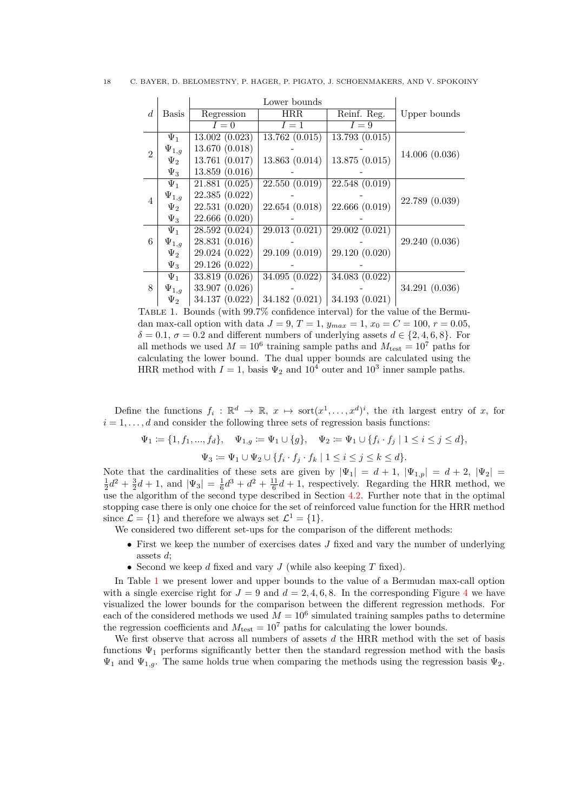<span id="page-17-0"></span>

|  |  |  |  | C. BAYER, D. BELOMESTNY, P. HAGER, P. PIGATO, J. SCHOENMAKERS, AND V. SPOKOINY |  |
|--|--|--|--|--------------------------------------------------------------------------------|--|
|--|--|--|--|--------------------------------------------------------------------------------|--|

|                |              |                | Lower bounds   |                |                |
|----------------|--------------|----------------|----------------|----------------|----------------|
| $\overline{d}$ | Basis        | Regression     | HRR.           | Reinf. Reg.    | Upper bounds   |
|                |              | $I=0$          | $I=1$          | $I=9$          |                |
|                | $\Psi_1$     | 13.002(0.023)  | 13.762(0.015)  | 13.793 (0.015) |                |
| $\overline{2}$ | $\Psi_{1,g}$ | 13.670 (0.018) |                |                | 14.006(0.036)  |
|                | $\Psi_2$     | 13.761 (0.017) | 13.863(0.014)  | 13.875 (0.015) |                |
|                | $\Psi_3$     | 13.859(0.016)  |                |                |                |
| $\overline{4}$ | $\Psi_1$     | 21.881 (0.025) | 22.550(0.019)  | 22.548 (0.019) |                |
|                | $\Psi_{1,g}$ | 22.385 (0.022) |                |                | 22.789 (0.039) |
|                | $\Psi_2$     | 22.531 (0.020) | 22.654(0.018)  | 22.666 (0.019) |                |
|                | $\Psi_3$     | 22.666 (0.020) |                |                |                |
|                | $\Psi_1$     | 28.592 (0.024) | 29.013(0.021)  | 29.002(0.021)  |                |
| 6              | $\Psi_{1,g}$ | 28.831 (0.016) |                |                | 29.240 (0.036) |
|                | $\Psi_2$     | 29.024 (0.022) | 29.109 (0.019) | 29.120 (0.020) |                |
|                | $\Psi_3$     | 29.126 (0.022) |                |                |                |
| 8              | $\Psi_1$     | 33.819 (0.026) | 34.095 (0.022) | 34.083 (0.022) |                |
|                | $\Psi_{1,g}$ | 33.907 (0.026) |                |                | 34.291 (0.036) |
|                | $\Psi_2$     | 34.137 (0.022) | 34.182 (0.021) | 34.193 (0.021) |                |

Table 1. Bounds (with 99.7% confidence interval) for the value of the Bermudan max-call option with data  $J = 9$ ,  $T = 1$ ,  $y_{max} = 1$ ,  $x_0 = C = 100$ ,  $r = 0.05$ ,  $\delta = 0.1$ ,  $\sigma = 0.2$  and different numbers of underlying assets  $d \in \{2, 4, 6, 8\}$ . For all methods we used  $M = 10^6$  training sample paths and  $M_{\text{test}} = 10^7$  paths for calculating the lower bound. The dual upper bounds are calculated using the HRR method with  $I = 1$ , basis  $\Psi_2$  and  $10^4$  outer and  $10^3$  inner sample paths.

Define the functions  $f_i: \mathbb{R}^d \to \mathbb{R}, x \mapsto \text{sort}(x^1, \ldots, x^d)^i$ , the *i*th largest entry of *x*, for  $i = 1, \ldots, d$  and consider the following three sets of regression basis functions:

$$
\Psi_1 := \{1, f_1, ..., f_d\}, \quad \Psi_{1,g} := \Psi_1 \cup \{g\}, \quad \Psi_2 := \Psi_1 \cup \{f_i \cdot f_j \mid 1 \le i \le j \le d\},
$$

$$
\Psi_3 := \Psi_1 \cup \Psi_2 \cup \{f_i \cdot f_j \cdot f_k \mid 1 \le i \le j \le k \le d\}.
$$

Note that the cardinalities of these sets are given by  $|\Psi_1| = d + 1$ ,  $|\Psi_{1,p}| = d + 2$ ,  $|\Psi_2| =$  $\frac{1}{2}d^2 + \frac{3}{2}d + 1$ , and  $|\Psi_3| = \frac{1}{6}d^3 + d^2 + \frac{11}{6}d + 1$ , respectively. Regarding the HRR method, we use the algorithm of the second type described in Section [4.2.](#page-8-2) Further note that in the optimal stopping case there is only one choice for the set of reinforced value function for the HRR method since  $\mathcal{L} = \{1\}$  and therefore we always set  $\mathcal{L}^1 = \{1\}.$ 

We considered two different set-ups for the comparison of the different methods:

- First we keep the number of exercises dates *J* fixed and vary the number of underlying assets *d*;
- Second we keep *d* fixed and vary *J* (while also keeping *T* fixed).

In Table [1](#page-17-0) we present lower and upper bounds to the value of a Bermudan max-call option with a single exercise right for  $J = 9$  and  $d = 2, 4, 6, 8$  $d = 2, 4, 6, 8$  $d = 2, 4, 6, 8$ . In the corresponding Figure 4 we have visualized the lower bounds for the comparison between the different regression methods. For each of the considered methods we used  $M = 10^6$  simulated training samples paths to determine the regression coefficients and  $M_{\text{test}} = 10^7$  paths for calculating the lower bounds.

We first observe that across all numbers of assets *d* the HRR method with the set of basis functions  $\Psi_1$  performs significantly better then the standard regression method with the basis  $\Psi_1$  and  $\Psi_{1,q}$ . The same holds true when comparing the methods using the regression basis  $\Psi_2$ .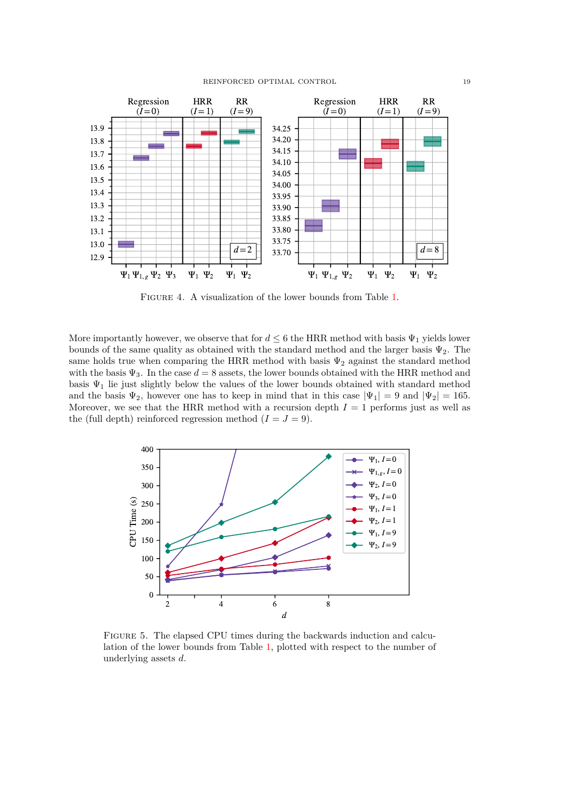<span id="page-18-0"></span>

FIGURE 4. A visualization of the lower bounds from Table [1.](#page-17-0)

More importantly however, we observe that for  $d \leq 6$  the HRR method with basis  $\Psi_1$  yields lower bounds of the same quality as obtained with the standard method and the larger basis  $\Psi_2$ . The same holds true when comparing the HRR method with basis  $\Psi_2$  against the standard method with the basis  $\Psi_3$ . In the case  $d = 8$  assets, the lower bounds obtained with the HRR method and basis  $\Psi_1$  lie just slightly below the values of the lower bounds obtained with standard method and the basis  $\Psi_2$ , however one has to keep in mind that in this case  $|\Psi_1| = 9$  and  $|\Psi_2| = 165$ . Moreover, we see that the HRR method with a recursion depth  $I = 1$  performs just as well as the (full depth) reinforced regression method  $(I = J = 9)$ .

<span id="page-18-1"></span>

Figure 5. The elapsed CPU times during the backwards induction and calculation of the lower bounds from Table [1,](#page-17-0) plotted with respect to the number of underlying assets *d*.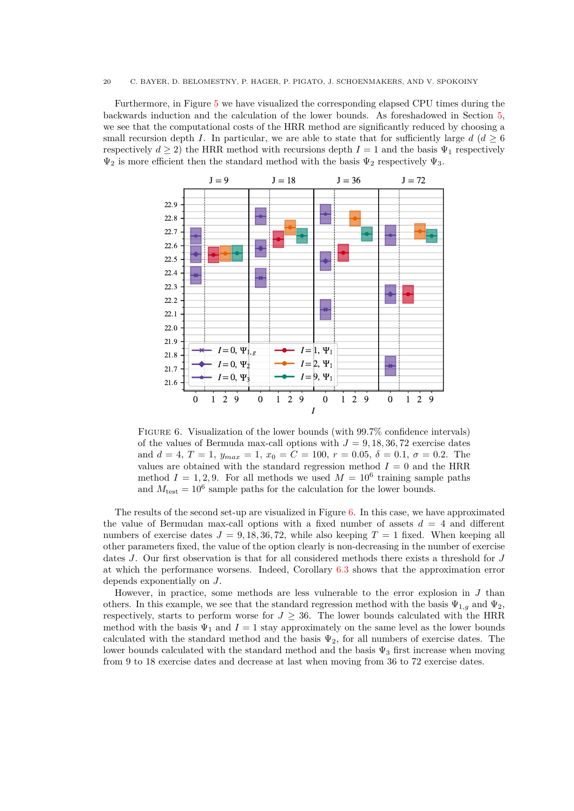Furthermore, in Figure [5](#page-18-1) we have visualized the corresponding elapsed CPU times during the backwards induction and the calculation of the lower bounds. As foreshadowed in Section [5,](#page-9-0) we see that the computational costs of the HRR method are significantly reduced by choosing a small recursion depth *I*. In particular, we are able to state that for sufficiently large  $d (d \geq 6$ respectively  $d \geq 2$ ) the HRR method with recursions depth  $I = 1$  and the basis  $\Psi_1$  respectively  $\Psi_2$  is more efficient then the standard method with the basis  $\Psi_2$  respectively  $\Psi_3$ .

<span id="page-19-0"></span>

Figure 6. Visualization of the lower bounds (with 99.7% confidence intervals) of the values of Bermuda max-call options with  $J = 9, 18, 36, 72$  exercise dates and  $d = 4, T = 1, y_{max} = 1, x_0 = C = 100, r = 0.05, \delta = 0.1, \sigma = 0.2$ . The values are obtained with the standard regression method  $I = 0$  and the HRR method  $I = 1, 2, 9$ . For all methods we used  $M = 10^6$  training sample paths and  $M_{\text{test}} = 10^6$  sample paths for the calculation for the lower bounds.

The results of the second set-up are visualized in Figure [6.](#page-19-0) In this case, we have approximated the value of Bermudan max-call options with a fixed number of assets  $d = 4$  and different numbers of exercise dates  $J = 9, 18, 36, 72$ , while also keeping  $T = 1$  fixed. When keeping all other parameters fixed, the value of the option clearly is non-decreasing in the number of exercise dates *J*. Our first observation is that for all considered methods there exists a threshold for *J* at which the performance worsens. Indeed, Corollary [6.3](#page-14-4) shows that the approximation error depends exponentially on *J*.

However, in practice, some methods are less vulnerable to the error explosion in *J* than others. In this example, we see that the standard regression method with the basis  $\Psi_{1,q}$  and  $\Psi_2$ , respectively, starts to perform worse for  $J \geq 36$ . The lower bounds calculated with the HRR method with the basis  $\Psi_1$  and  $I = 1$  stay approximately on the same level as the lower bounds calculated with the standard method and the basis  $\Psi_2$ , for all numbers of exercise dates. The lower bounds calculated with the standard method and the basis  $\Psi_3$  first increase when moving from 9 to 18 exercise dates and decrease at last when moving from 36 to 72 exercise dates.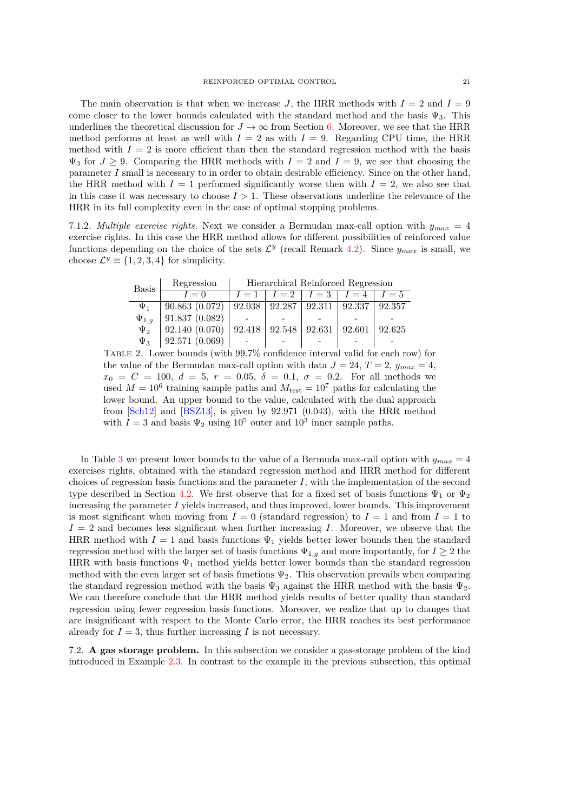The main observation is that when we increase *J*, the HRR methods with  $I = 2$  and  $I = 9$ come closer to the lower bounds calculated with the standard method and the basis  $\Psi_3$ . This underlines the theoretical discussion for  $J \to \infty$  from Section [6.](#page-12-0) Moreover, we see that the HRR method performs at least as well with  $I = 2$  as with  $I = 9$ . Regarding CPU time, the HRR method with  $I = 2$  is more efficient than then the standard regression method with the basis  $\Psi_3$  for  $J \geq 9$ . Comparing the HRR methods with  $I = 2$  and  $I = 9$ , we see that choosing the parameter *I* small is necessary to in order to obtain desirable efficiency. Since on the other hand, the HRR method with  $I = 1$  performed significantly worse then with  $I = 2$ , we also see that in this case it was necessary to choose  $I > 1$ . These observations underline the relevance of the HRR in its full complexity even in the case of optimal stopping problems.

<span id="page-20-0"></span>7.1.2. *Multiple exercise rights.* Next we consider a Bermudan max-call option with  $y_{max} = 4$ exercise rights. In this case the HRR method allows for different possibilities of reinforced value functions depending on the choice of the sets  $\mathcal{L}^y$  (recall Remark [4.2\)](#page-8-5). Since  $y_{max}$  is small, we choose  $\mathcal{L}^y \equiv \{1, 2, 3, 4\}$  for simplicity.

Basis Regression Hierarchical Reinforced Regression

| Dasis        | $I=0$                                                                  | $I = 1$ $I = 2$ $I = 3$ $I = 4$ $I = 5$ |  |  |
|--------------|------------------------------------------------------------------------|-----------------------------------------|--|--|
| $\Psi_1$     | $90.863(0.072)$   $92.038$   $92.287$   $92.311$   $92.337$   $92.357$ |                                         |  |  |
| $\Psi_{1,q}$ | 91.837(0.082)                                                          |                                         |  |  |
| $\Psi_2$     | $92.140(0.070)$   $92.418$   $92.548$   $92.631$   $92.601$   $92.625$ |                                         |  |  |
| $\Psi_3$     | 92.571(0.069)                                                          |                                         |  |  |

Table 2. Lower bounds (with 99.7% confidence interval valid for each row) for the value of the Bermudan max-call option with data  $J = 24$ ,  $T = 2$ ,  $y_{max} = 4$ ,  $x_0 = C = 100, d = 5, r = 0.05, \delta = 0.1, \sigma = 0.2$ . For all methods we used  $M = 10^6$  training sample paths and  $M_{\text{test}} = 10^7$  paths for calculating the lower bound. An upper bound to the value, calculated with the dual approach from [\[Sch12\]](#page-23-16) and [\[BSZ13\]](#page-23-17), is given by 92*.*971 (0*.*043), with the HRR method with  $I = 3$  and basis  $\Psi_2$  using  $10^5$  outer and  $10^3$  inner sample paths.

In Table [3](#page-22-0) we present lower bounds to the value of a Bermuda max-call option with  $y_{max} = 4$ exercises rights, obtained with the standard regression method and HRR method for different choices of regression basis functions and the parameter  $I$ , with the implementation of the second type described in Section [4.2.](#page-8-2) We first observe that for a fixed set of basis functions  $\Psi_1$  or  $\Psi_2$ increasing the parameter *I* yields increased, and thus improved, lower bounds. This improvement is most significant when moving from  $I = 0$  (standard regression) to  $I = 1$  and from  $I = 1$  to  $I = 2$  and becomes less significant when further increasing *I*. Moreover, we observe that the HRR method with  $I = 1$  and basis functions  $\Psi_1$  yields better lower bounds then the standard regression method with the larger set of basis functions  $\Psi_{1,g}$  and more importantly, for  $I \geq 2$  the HRR with basis functions  $\Psi_1$  method yields better lower bounds than the standard regression method with the even larger set of basis functions  $\Psi_2$ . This observation prevails when comparing the standard regression method with the basis  $\Psi_3$  against the HRR method with the basis  $\Psi_2$ . We can therefore conclude that the HRR method yields results of better quality than standard regression using fewer regression basis functions. Moreover, we realize that up to changes that are insignificant with respect to the Monte Carlo error, the HRR reaches its best performance already for  $I = 3$ , thus further increasing *I* is not necessary.

7.2. **A gas storage problem.** In this subsection we consider a gas-storage problem of the kind introduced in Example [2.3.](#page-3-4) In contrast to the example in the previous subsection, this optimal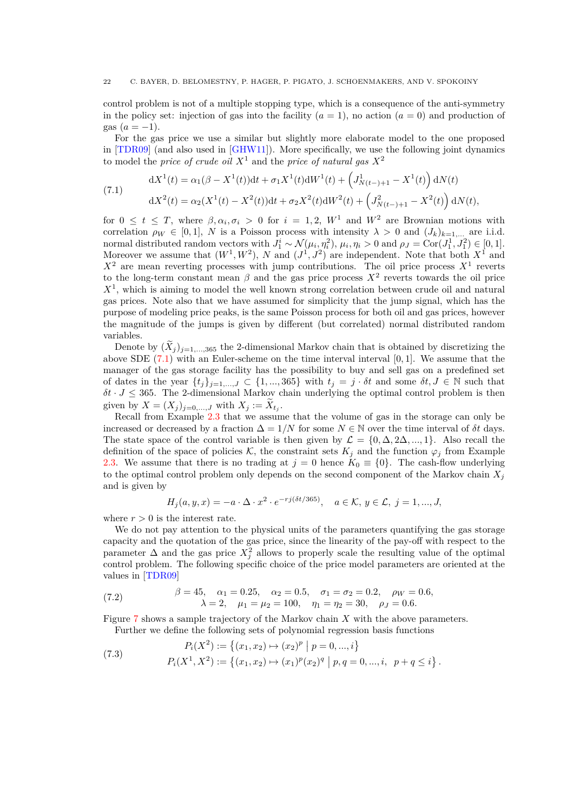control problem is not of a multiple stopping type, which is a consequence of the anti-symmetry in the policy set: injection of gas into the facility  $(a = 1)$ , no action  $(a = 0)$  and production of gas  $(a = -1)$ .

For the gas price we use a similar but slightly more elaborate model to the one proposed in [\[TDR09\]](#page-23-18) (and also used in [\[GHW11\]](#page-23-10)). More specifically, we use the following joint dynamics to model the *price of crude oil*  $X^1$  and the *price of natural gas*  $X^2$ 

<span id="page-21-0"></span>(7.1) 
$$
dX^{1}(t) = \alpha_{1}(\beta - X^{1}(t))dt + \sigma_{1}X^{1}(t)dW^{1}(t) + \left(J_{N(t-) + 1}^{1} - X^{1}(t)\right)dN(t) \n dX^{2}(t) = \alpha_{2}(X^{1}(t) - X^{2}(t))dt + \sigma_{2}X^{2}(t)dW^{2}(t) + \left(J_{N(t-) + 1}^{2} - X^{2}(t)\right)dN(t),
$$

for  $0 \le t \le T$ , where  $\beta, \alpha_i, \sigma_i > 0$  for  $i = 1, 2, W^1$  and  $W^2$  are Brownian motions with correlation  $\rho_W \in [0,1], N$  is a Poisson process with intensity  $\lambda > 0$  and  $(J_k)_{k=1}$ , are i.i.d. normal distributed random vectors with  $J_1^i \sim \mathcal{N}(\mu_i, \eta_i^2)$ ,  $\mu_i, \eta_i > 0$  and  $\rho_J = \text{Cor}(J_1^1, J_1^2) \in [0, 1]$ . Moreover we assume that  $(W^1, W^2)$ , *N* and  $(J^1, J^2)$  are independent. Note that both  $X^1$  and  $X^2$  are mean reverting processes with jump contributions. The oil price process  $X^1$  reverts to the long-term constant mean  $\beta$  and the gas price process  $X^2$  reverts towards the oil price *X*<sup>1</sup> , which is aiming to model the well known strong correlation between crude oil and natural gas prices. Note also that we have assumed for simplicity that the jump signal, which has the purpose of modeling price peaks, is the same Poisson process for both oil and gas prices, however the magnitude of the jumps is given by different (but correlated) normal distributed random variables.

Denote by  $(\tilde{X}_j)_{j=1,\ldots,365}$  the 2-dimensional Markov chain that is obtained by discretizing the above SDE [\(7.1\)](#page-21-0) with an Euler-scheme on the time interval interval [0*,* 1]. We assume that the manager of the gas storage facility has the possibility to buy and sell gas on a predefined set of dates in the year  $\{t_j\}_{j=1,\dots,J} \subset \{1,\dots,365\}$  with  $t_j = j \cdot \delta t$  and some  $\delta t, J \in \mathbb{N}$  such that  $\delta t \cdot J \leq 365$ . The 2-dimensional Markov chain underlying the optimal control problem is then given by  $X = (X_j)_{j=0,...,J}$  with  $X_j := X_{t_j}$ .

Recall from Example [2.3](#page-3-4) that we assume that the volume of gas in the storage can only be increased or decreased by a fraction  $\Delta = 1/N$  for some  $N \in \mathbb{N}$  over the time interval of  $\delta t$  days. The state space of the control variable is then given by  $\mathcal{L} = \{0, \Delta, 2\Delta, ..., 1\}$ . Also recall the definition of the space of policies K, the constraint sets  $K_i$  and the function  $\varphi_i$  from Example [2.3.](#page-3-4) We assume that there is no trading at  $j = 0$  hence  $K_0 = \{0\}$ . The cash-flow underlying to the optimal control problem only depends on the second component of the Markov chain  $X_i$ and is given by

$$
H_j(a, y, x) = -a \cdot \Delta \cdot x^2 \cdot e^{-r j (\delta t/365)}, \quad a \in \mathcal{K}, y \in \mathcal{L}, j = 1, ..., J,
$$

where  $r > 0$  is the interest rate.

We do not pay attention to the physical units of the parameters quantifying the gas storage capacity and the quotation of the gas price, since the linearity of the pay-off with respect to the parameter  $\Delta$  and the gas price  $X_j^2$  allows to properly scale the resulting value of the optimal control problem. The following specific choice of the price model parameters are oriented at the values in [\[TDR09\]](#page-23-18)

<span id="page-21-1"></span>(7.2) 
$$
\beta = 45, \quad \alpha_1 = 0.25, \quad \alpha_2 = 0.5, \quad \sigma_1 = \sigma_2 = 0.2, \quad \rho_W = 0.6, \lambda = 2, \quad \mu_1 = \mu_2 = 100, \quad \eta_1 = \eta_2 = 30, \quad \rho_J = 0.6.
$$

Figure [7](#page-22-1) shows a sample trajectory of the Markov chain *X* with the above parameters. Further we define the following sets of polynomial regression basis functions

<span id="page-21-2"></span>(7.3) 
$$
P_i(X^2) := \{(x_1, x_2) \mapsto (x_2)^p \mid p = 0, ..., i\}
$$

$$
P_i(X^1, X^2) := \{(x_1, x_2) \mapsto (x_1)^p (x_2)^q \mid p, q = 0, ..., i, p + q \le i\}.
$$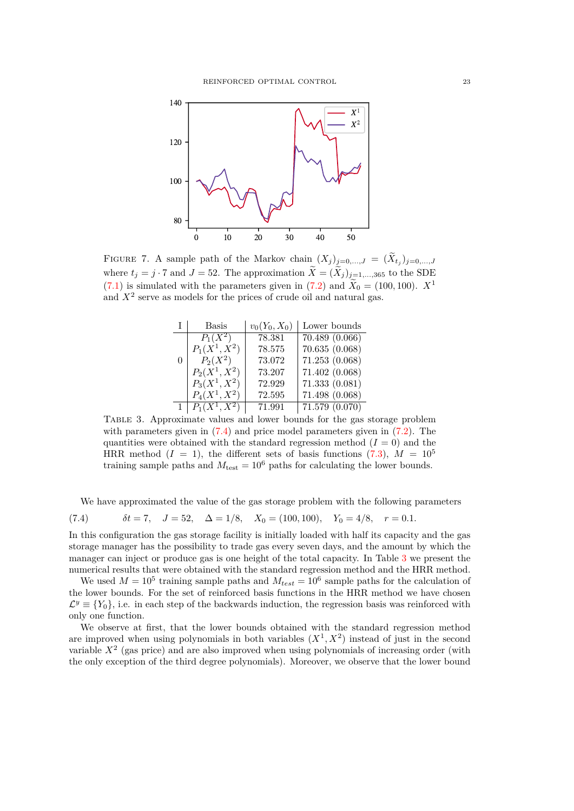<span id="page-22-1"></span>

<span id="page-22-0"></span>FIGURE 7. A sample path of the Markov chain  $(X_j)_{j=0,\ldots,J} = (\tilde{X}_{t_j})_{j=0,\ldots,J}$ where  $t_j = j \cdot 7$  and  $J = 52$ . The approximation  $\widetilde{X} = (\widetilde{X}_j)_{j=1,\dots,365}$  to the SDE  $(7.1)$  is simulated with the parameters given in  $(7.2)$  and  $\widetilde{X}_0 = (100, 100)$ .  $X^1$ and  $X<sup>2</sup>$  serve as models for the prices of crude oil and natural gas.

|          | Basis           | $v_0(Y_0, X_0)$ | Lower bounds                |
|----------|-----------------|-----------------|-----------------------------|
|          | $P_1(X^2)$      | 78.381          | $\overline{70.489}$ (0.066) |
|          | $P_1(X^1, X^2)$ | 78.575          | 70.635(0.068)               |
| $\theta$ | $P_2(X^2)$      | 73.072          | 71.253(0.068)               |
|          | $P_2(X^1, X^2)$ | 73.207          | 71.402 (0.068)              |
|          | $P_3(X^1, X^2)$ | 72.929          | 71.333(0.081)               |
|          | $P_4(X^1, X^2)$ | 72.595          | 71.498 (0.068)              |
|          | $P_1(X^1,X^2)$  | 71.991          | $\overline{71.579}$ (0.070) |

Table 3. Approximate values and lower bounds for the gas storage problem with parameters given in  $(7.4)$  and price model parameters given in  $(7.2)$ . The quantities were obtained with the standard regression method  $(I = 0)$  and the HRR method  $(I = 1)$ , the different sets of basis functions  $(7.3)$ ,  $M = 10^5$ training sample paths and  $M_{\text{test}} = 10^6$  paths for calculating the lower bounds.

We have approximated the value of the gas storage problem with the following parameters

<span id="page-22-2"></span>(7.4) 
$$
\delta t = 7, \quad J = 52, \quad \Delta = 1/8, \quad X_0 = (100, 100), \quad Y_0 = 4/8, \quad r = 0.1.
$$

In this configuration the gas storage facility is initially loaded with half its capacity and the gas storage manager has the possibility to trade gas every seven days, and the amount by which the manager can inject or produce gas is one height of the total capacity. In Table [3](#page-22-0) we present the numerical results that were obtained with the standard regression method and the HRR method.

We used  $M = 10^5$  training sample paths and  $M_{test} = 10^6$  sample paths for the calculation of the lower bounds. For the set of reinforced basis functions in the HRR method we have chosen  $\mathcal{L}^y \equiv \{Y_0\}$ , i.e. in each step of the backwards induction, the regression basis was reinforced with only one function.

We observe at first, that the lower bounds obtained with the standard regression method are improved when using polynomials in both variables  $(X^1, X^2)$  instead of just in the second variable  $X<sup>2</sup>$  (gas price) and are also improved when using polynomials of increasing order (with the only exception of the third degree polynomials). Moreover, we observe that the lower bound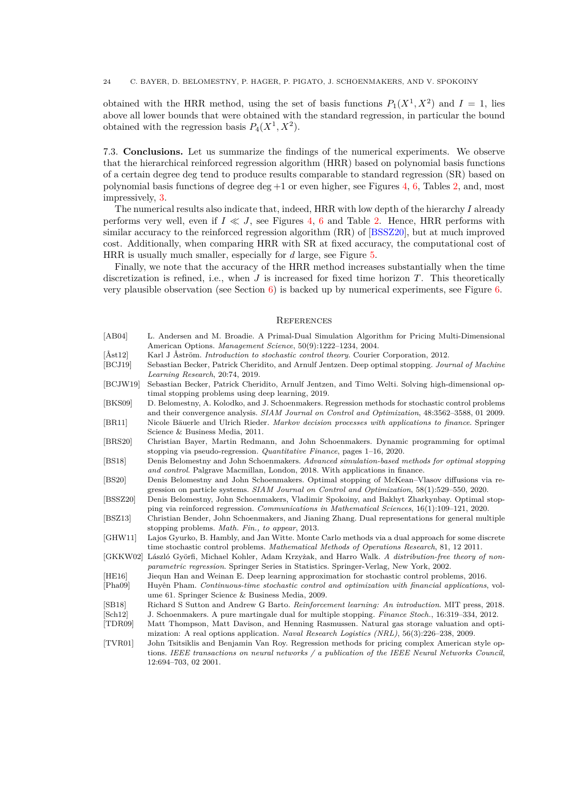obtained with the HRR method, using the set of basis functions  $P_1(X^1, X^2)$  and  $I = 1$ , lies above all lower bounds that were obtained with the standard regression, in particular the bound obtained with the regression basis  $P_4(X^1, X^2)$ .

7.3. **Conclusions.** Let us summarize the findings of the numerical experiments. We observe that the hierarchical reinforced regression algorithm (HRR) based on polynomial basis functions of a certain degree deg tend to produce results comparable to standard regression (SR) based on polynomial basis functions of degree deg  $+1$  or even higher, see Figures [4,](#page-18-0) [6,](#page-19-0) Tables [2,](#page-20-0) and, most impressively, [3.](#page-22-0)

The numerical results also indicate that, indeed, HRR with low depth of the hierarchy *I* already performs very well, even if  $I \ll J$ , see Figures [4,](#page-18-0) [6](#page-19-0) and Table [2.](#page-20-0) Hence, HRR performs with similar accuracy to the reinforced regression algorithm (RR) of [\[BSSZ20\]](#page-23-9), but at much improved cost. Additionally, when comparing HRR with SR at fixed accuracy, the computational cost of HRR is usually much smaller, especially for *d* large, see Figure [5.](#page-18-1)

Finally, we note that the accuracy of the HRR method increases substantially when the time discretization is refined, i.e., when *J* is increased for fixed time horizon *T*. This theoretically very plausible observation (see Section  $6$ ) is backed up by numerical experiments, see Figure  $6$ .

### **REFERENCES**

<span id="page-23-18"></span><span id="page-23-17"></span><span id="page-23-16"></span><span id="page-23-15"></span><span id="page-23-14"></span><span id="page-23-13"></span><span id="page-23-12"></span><span id="page-23-11"></span><span id="page-23-10"></span><span id="page-23-9"></span><span id="page-23-8"></span><span id="page-23-7"></span><span id="page-23-6"></span><span id="page-23-5"></span><span id="page-23-4"></span><span id="page-23-3"></span><span id="page-23-2"></span><span id="page-23-1"></span><span id="page-23-0"></span>

| [AB04]                          | L. Andersen and M. Broadie. A Primal-Dual Simulation Algorithm for Pricing Multi-Dimensional          |
|---------------------------------|-------------------------------------------------------------------------------------------------------|
|                                 | American Options. Management Science, 50(9):1222-1234, 2004.                                          |
| $[\text{Åst12}]$                | Karl J Aström. <i>Introduction to stochastic control theory</i> . Courier Corporation, 2012.          |
| [BCJ19]                         | Sebastian Becker, Patrick Cheridito, and Arnulf Jentzen. Deep optimal stopping. Journal of Machine    |
|                                 | Learning Research, 20:74, 2019.                                                                       |
| [BCJW19]                        | Sebastian Becker, Patrick Cheridito, Arnulf Jentzen, and Timo Welti. Solving high-dimensional op-     |
|                                 | timal stopping problems using deep learning, 2019.                                                    |
| [BKS09]                         | D. Belomestny, A. Kolodko, and J. Schoenmakers. Regression methods for stochastic control problems    |
|                                 | and their convergence analysis. SIAM Journal on Control and Optimization, 48:3562-3588, 01 2009.      |
| [BR11]                          | Nicole Bäuerle and Ulrich Rieder. Markov decision processes with applications to finance. Springer    |
|                                 | Science & Business Media, 2011.                                                                       |
| [BRS20]                         | Christian Bayer, Martin Redmann, and John Schoenmakers. Dynamic programming for optimal               |
|                                 | stopping via pseudo-regression. Quantitative Finance, pages $1\n-16$ , 2020.                          |
| [BS18]                          | Denis Belomestny and John Schoenmakers. Advanced simulation-based methods for optimal stopping        |
|                                 | and control. Palgrave Macmillan, London, 2018. With applications in finance.                          |
| [BS20]                          | Denis Belomestny and John Schoenmakers. Optimal stopping of McKean-Vlasov diffusions via re-          |
|                                 | gression on particle systems. SIAM Journal on Control and Optimization, 58(1):529–550, 2020.          |
| [BSSZ20]                        | Denis Belomestny, John Schoenmakers, Vladimir Spokoiny, and Bakhyt Zharkynbay. Optimal stop-          |
|                                 | ping via reinforced regression. Communications in Mathematical Sciences, $16(1):109-121$ , 2020.      |
| [BSZ13]                         | Christian Bender, John Schoenmakers, and Jianing Zhang. Dual representations for general multiple     |
|                                 | stopping problems. <i>Math. Fin.</i> , to appear, 2013.                                               |
| [GHW11]                         | Lajos Gyurko, B. Hambly, and Jan Witte. Monte Carlo methods via a dual approach for some discrete     |
|                                 | time stochastic control problems. Mathematical Methods of Operations Research, 81, 12 2011.           |
| [GKKW02]                        | László Györfi, Michael Kohler, Adam Krzyżak, and Harro Walk. A distribution-free theory of non-       |
|                                 | <i>parametric regression.</i> Springer Series in Statistics. Springer-Verlag, New York, 2002.         |
| [HE16]                          | Jiequn Han and Weinan E. Deep learning approximation for stochastic control problems, 2016.           |
| [Pha09]                         | Huyên Pham. Continuous-time stochastic control and optimization with financial applications, vol-     |
|                                 | ume 61. Springer Science & Business Media, 2009.                                                      |
| [SB18]                          | Richard S Sutton and Andrew G Barto. Reinforcement learning: An introduction. MIT press, 2018.        |
| $\lbrack \text{Sch} 12 \rbrack$ | J. Schoenmakers. A pure martingale dual for multiple stopping. Finance Stoch., 16:319-334, 2012.      |
| [TDR09]                         | Matt Thompson, Matt Davison, and Henning Rasmussen. Natural gas storage valuation and opti-           |
|                                 | mization: A real options application. Naval Research Logistics (NRL), 56(3):226–238, 2009.            |
| [TVR01]                         | John Tsitsiklis and Benjamin Van Roy. Regression methods for pricing complex American style op-       |
|                                 | tions. IEEE transactions on neural networks $\ell$ a publication of the IEEE Neural Networks Council, |
|                                 | 12:694-703, 02 2001.                                                                                  |
|                                 |                                                                                                       |